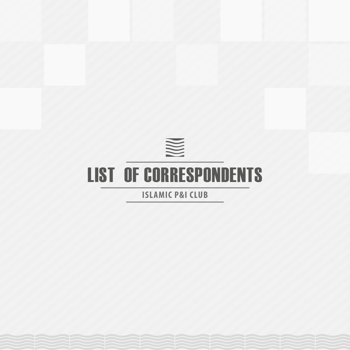

**ISLAMIC P&I CLUB**

|  | AAAAAAAAAAAAAAAAA |  |  |  |
|--|-------------------|--|--|--|
|  |                   |  |  |  |
|  |                   |  |  |  |
|  |                   |  |  |  |
|  |                   |  |  |  |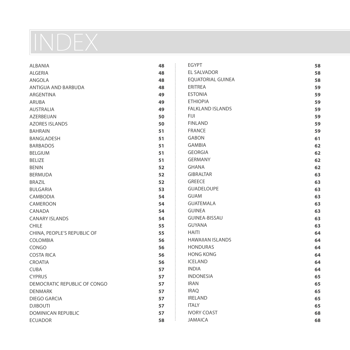# INDEX

| <b>ALBANIA</b>               | 48 | <b>EGYPT</b>             | 58 |
|------------------------------|----|--------------------------|----|
| <b>ALGERIA</b>               | 48 | <b>EL SALVADOR</b>       | 58 |
| ANGOLA                       | 48 | <b>EOUATORIAL GUINEA</b> | 58 |
| ANTIGUA AND BARBUDA          | 48 | <b>ERITREA</b>           | 59 |
| <b>ARGENTINA</b>             | 49 | <b>ESTONIA</b>           | 59 |
| <b>ARUBA</b>                 | 49 | <b>ETHIOPIA</b>          | 59 |
| <b>AUSTRALIA</b>             | 49 | <b>FALKLAND ISLANDS</b>  | 59 |
| <b>AZERBEIJAN</b>            | 50 | <b>FIJI</b>              | 59 |
| <b>AZORES ISLANDS</b>        | 50 | <b>FINLAND</b>           | 59 |
| <b>BAHRAIN</b>               | 51 | <b>FRANCE</b>            | 59 |
| <b>BANGLADESH</b>            | 51 | <b>GABON</b>             | 61 |
| <b>BARBADOS</b>              | 51 | <b>GAMBIA</b>            | 62 |
| <b>BELGIUM</b>               | 51 | <b>GEORGIA</b>           | 62 |
| <b>BELIZE</b>                | 51 | <b>GERMANY</b>           | 62 |
| <b>BENIN</b>                 | 52 | <b>GHANA</b>             | 62 |
| <b>BERMUDA</b>               | 52 | <b>GIBRALTAR</b>         | 63 |
| <b>BRAZIL</b>                | 52 | <b>GREECE</b>            | 63 |
| <b>BULGARIA</b>              | 53 | <b>GUADELOUPE</b>        | 63 |
| <b>CAMBODIA</b>              | 54 | <b>GUAM</b>              | 63 |
| CAMEROON                     | 54 | <b>GUATEMALA</b>         | 63 |
| CANADA                       | 54 | <b>GUINEA</b>            | 63 |
| <b>CANARY ISLANDS</b>        | 54 | <b>GUINEA-BISSAU</b>     | 63 |
| <b>CHILE</b>                 | 55 | <b>GUYANA</b>            | 63 |
| CHINA, PEOPLE'S REPUBLIC OF  | 55 | <b>HAITI</b>             | 64 |
| <b>COLOMBIA</b>              | 56 | <b>HAWAIIAN ISLANDS</b>  | 64 |
| CONGO                        | 56 | <b>HONDURAS</b>          | 64 |
| <b>COSTA RICA</b>            | 56 | <b>HONG KONG</b>         | 64 |
| <b>CROATIA</b>               | 56 | <b>ICELAND</b>           | 64 |
| <b>CUBA</b>                  | 57 | <b>INDIA</b>             | 64 |
| <b>CYPRUS</b>                | 57 | <b>INDONESIA</b>         | 65 |
| DEMOCRATIC REPUBLIC OF CONGO | 57 | <b>IRAN</b>              | 65 |
| <b>DENMARK</b>               | 57 | <b>IRAQ</b>              | 65 |
| DIEGO GARCIA                 | 57 | <b>IRELAND</b>           | 65 |
| <b>DJIBOUTI</b>              | 57 | <b>ITALY</b>             | 65 |
| <b>DOMINICAN REPUBLIC</b>    | 57 | <b>IVORY COAST</b>       | 68 |
| <b>ECUADOR</b>               | 58 | <b>JAMAICA</b>           | 68 |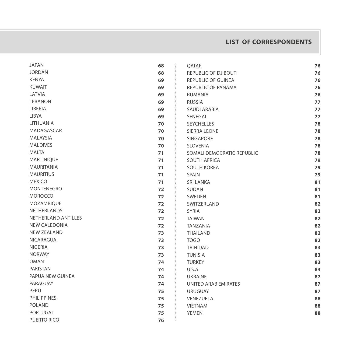# **List of Correspondents**

| <b>JAPAN</b>         | 68 | QATAR                      | 76 |
|----------------------|----|----------------------------|----|
| <b>JORDAN</b>        | 68 | REPUBLIC OF DJIBOUTI       | 76 |
| <b>KENYA</b>         | 69 | <b>REPUBLIC OF GUINEA</b>  | 76 |
| <b>KUWAIT</b>        | 69 | REPUBLIC OF PANAMA         | 76 |
| LATVIA               | 69 | <b>RUMANIA</b>             | 76 |
| <b>LEBANON</b>       | 69 | <b>RUSSIA</b>              | 77 |
| LIBERIA              | 69 | <b>SAUDI ARABIA</b>        | 77 |
| LIBYA                | 69 | SENEGAL                    | 77 |
| LITHUANIA            | 70 | <b>SEYCHELLES</b>          | 78 |
| MADAGASCAR           | 70 | <b>SIERRA LEONE</b>        | 78 |
| <b>MALAYSIA</b>      | 70 | <b>SINGAPORE</b>           | 78 |
| <b>MALDIVES</b>      | 70 | <b>SLOVENIA</b>            | 78 |
| <b>MALTA</b>         | 71 | SOMALI DEMOCRATIC REPUBLIC | 78 |
| MARTINIQUE           | 71 | <b>SOUTH AFRICA</b>        | 79 |
| <b>MAURITANIA</b>    | 71 | <b>SOUTH KOREA</b>         | 79 |
| <b>MAURITIUS</b>     | 71 | SPAIN                      | 79 |
| <b>MEXICO</b>        | 71 | <b>SRI LANKA</b>           | 81 |
| <b>MONTENEGRO</b>    | 72 | <b>SUDAN</b>               | 81 |
| <b>MOROCCO</b>       | 72 | SWEDEN                     | 81 |
| MOZAMBIQUE           | 72 | SWITZERLAND                | 82 |
| <b>NETHERLANDS</b>   | 72 | <b>SYRIA</b>               | 82 |
| NETHERLAND ANTILLES  | 72 | <b>TAIWAN</b>              | 82 |
| <b>NEW CALEDONIA</b> | 72 | <b>TANZANIA</b>            | 82 |
| <b>NEW ZEALAND</b>   | 73 | <b>THAILAND</b>            | 82 |
| <b>NICARAGUA</b>     | 73 | <b>TOGO</b>                | 82 |
| <b>NIGERIA</b>       | 73 | <b>TRINIDAD</b>            | 83 |
| <b>NORWAY</b>        | 73 | <b>TUNISIA</b>             | 83 |
| <b>OMAN</b>          | 74 | <b>TURKEY</b>              | 83 |
| <b>PAKISTAN</b>      | 74 | U.S.A.                     | 84 |
| PAPUA NEW GUINEA     | 74 | <b>UKRAINE</b>             | 87 |
| PARAGUAY             | 74 | UNITED ARAB EMIRATES       | 87 |
| PERU                 | 75 | <b>URUGUAY</b>             | 87 |
| <b>PHILIPPINES</b>   | 75 | <b>VENEZUELA</b>           | 88 |
| <b>POLAND</b>        | 75 | <b>VIETNAM</b>             | 88 |
| PORTUGAL             | 75 | <b>YEMEN</b>               | 88 |
| PUERTO RICO          | 76 |                            |    |
|                      |    |                            |    |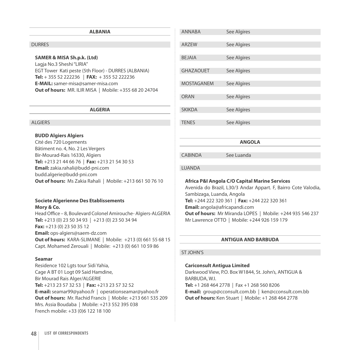#### **ALBANIA**

#### **DURRES**

#### **SAMER & MISA Sh.p.k. (Ltd)**

Lagja No.3 Sheshi "LIRIA" EGT Tower Kati peste (5th Floor) - DURRES (ALBANIA) **Tel:** + 355 52 222236 | **FAX:** + 355 52 222236 **E-MAIL:** samer-misa@samer-misa.com **Out of hours:** MR. ILIR MISA | Mobile: +355 68 20 24704

#### **ALGERIA**

# **ALGIERS**

#### **BUDD Algiers Algiers**

Cité des 720 Logements Bâtiment no. 4, No. 2 Les Vergers Bir-Mourad-Rais 16330, Algiers **Tel:** +213 21 44 66 76 | **Fax:** +213 21 54 30 53 **Email:** zakia.rahali@budd-pni.com budd.algerie@budd-pni.com **Out of hours:** Ms Zakia Rahali | Mobile: +213 661 50 76 10

#### **Societe Algerienne Des Etablissements Mory & Co.**

Head Office – 8, Boulevard Colonel Amirouche- Algiers-ALGERIA **Tel:** +213 (0) 23 50 34 93 | +213 (0) 23 50 34 94 **Fax:** +213 (0) 23 50 35 12 **Email:** ops-algiers@saem-dz.com **Out of hours:** KARA-SLIMANE | Mobile: +213 (0) 661 55 68 15 Capt. Mohamed Zerouali | Mobile: +213 (0) 661 10 59 86

#### **Seamar**

Residence 102 Lgts tour Sidi Yahia, Cage A BT 01 Logt 09 Said Hamdine, Bir Mourad Rais Alger/ALGERIE **Tel:** +213 23 57 32 53 | **Fax:** +213 23 57 32 52 **E-mail:** seamar99@yahoo.fr | operationseamar@yahoo.fr **Out of hours:** Mr. Rachid Francis | Mobile: +213 661 535 209 Mrs. Assia Boudaba | Mobile: +213 552 395 038 French mobile: +33 (0)6 122 18 100

| <b>ANGOLA</b>     |             |  |  |
|-------------------|-------------|--|--|
| <b>TENES</b>      | See Algires |  |  |
|                   |             |  |  |
| <b>SKIKDA</b>     | See Algires |  |  |
| <b>ORAN</b>       | See Algires |  |  |
| <b>MOSTAGANEM</b> | See Algires |  |  |
| <b>GHAZAOUET</b>  | See Algires |  |  |
| <b>BEJAIA</b>     | See Algires |  |  |
| <b>ARZEW</b>      | See Algires |  |  |
|                   |             |  |  |
| <b>ANNABA</b>     | See Algires |  |  |

#### LUANDA

#### **Africa P&I Angola C/O Capital Marine Services**

Avenida do Brazil, L30/3 Andar Appart. F, Bairro Cote Valodia, Sambizaga, Luanda, Angola **Tel:** +244 222 320 361 | **Fax:** +244 222 320 361 **Email:** angola@africapandi.com **Out of hours:** Mr Miranda LOPES | Mobile: +244 935 546 237 Mr Lawrence OTTO | Mobile: +244 926 159 179

#### **ANTIGUA AND BARBUDA**

#### ST JOHN'S

#### **Cariconsult Antigua Limited**

CABINDA See Luanda

Darkwood View, P.O. Box W1844, St. John's, ANTIGUA & BARBUDA, W.I. **Tel:** +1 268 464 2778 | Fax +1 268 560 8206 **E-mail:** group@cconsult.com.bb | ken@cconsult.com.bb **Out of hours:** Ken Stuart | Mobile: +1 268 464 2778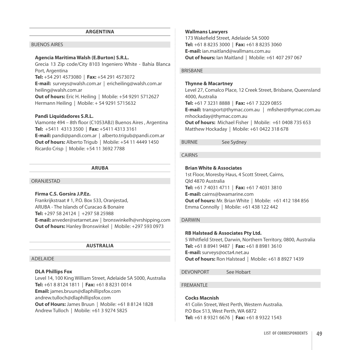#### **ARGENTINA**

# BUENOS AIRES

# **Agencia Maritima Walsh (E.Burton) S.R.L.**

Grecia 13 Zip code/City 8103 Ingeniero White - Bahía Blanca Port, Argentina **Tel:** +54 291 4573080 | **Fax:** +54 291 4573072 **E-mail:** surveys@walsh.com.ar | ericheiling@walsh.com.ar heiling@walsh.com.ar **Out of hours:** Eric H. Heiling | Mobile: +54 9291 5712627 Hermann Heiling | Mobile: + 54 9291 5715632

#### **Pandi Liquidadores S.R.L.**

Viamonte 494 – 8th floor (C1053ABJ) Buenos Aires , Argentina **Tel:** +5411 4313 3500 | **Fax:** +5411 4313 3161 **E-mail:** pandi@pandi.com.ar | alberto.trigub@pandi.com.ar **Out of hours:** Alberto Trigub | Mobile: +54 11 4449 1450 Ricardo Crisp | Mobile: +54 11 3692 7788

#### **ARUBA**

#### ORANJESTAD

#### **Firma C.S. Gorsira J.P.Ez.**

Frankrijkstraat # 1, P.O. Box 533, Oranjestad, ARUBA - The Islands of Curacao & Bonaire **Tel:** +297 58 24124 | +297 58 25988 **E-mail:** anveder@setarnet.aw | bronswinkelh@vrshipping.com **Out of hours:** Hanley Bronswinkel | Mobile: +297 593 0973

#### **AUSTRALIA**

#### ADELAIDE

#### **DLA Phillips Fox**

Level 14, 100 King William Street, Adelaide SA 5000, Australia **Tel:** +61 8 8124 1811 | **Fax:** +61 8 8231 0014 **Email:** james.bruun@dlaphillipsfox.com andrew.tulloch@dlaphillipsfox.com **Out of Hours:** James Bruun | Mobile: +61 8 8124 1828 Andrew Tulloch | Mobile: +61 3 9274 5825

#### **Wallmans Lawyers**

173 Wakefield Street, Adelaide SA 5000 **Tel:** +61 8 8235 3000 | **Fax:** +61 8 8235 3060 **E-mail:** ian.maitland@wallmans.com.au **Out of hours:** Ian Maitland | Mobile: +61 407 297 067

## BRISBANE

#### **Thynne & Macartney**

Level 27, Comalco Place, 12 Creek Street, Brisbane, Queensland 4000, Australia **Tel:** +61 7 3231 8888 | **Fax:** +61 7 3229 0855 **E-mail:** transport@thymac.com.au | mfisher@thymac.com.au mhockaday@thymac.com.au **Out of hours:** Michael Fisher | Mobile: +61 0408 735 653 Matthew Hockaday | Mobile: +61 0422 318 678

# BURNIE See Sydney

# CAIRNS

# **Brian White & Associates**

1st Floor, Moresby Haus, 4 Scott Street, Cairns, Qld 4870 Australia **Tel:** +61 7 4031 4711 | **Fax:** +61 7 4031 3810 **E-mail:** cairns@bwamarine.com **Out of hours:** Mr. Brian White | Mobile: +61 412 184 856 Emma Connolly | Mobile: +61 438 122 442

# DARWIN

# **RB Halstead & Associates Pty Ltd.**

5 Whitfield Street, Darwin, Northern Territory, 0800, Australia **Tel:** +61 8 8941 9487 | **Fax:** +61 8 8981 3610 **E-mail:** surveys@octa4.net.au **Out of hours:** Ron Halstead | Mobile: +61 8 8927 1439

DEVONPORT See Hobart

#### **FREMANTLE**

# **Cocks Macnish**

41 Colin Street, West Perth, Western Australia. P.O Box 513, West Perth, WA 6872 **Tel:** +61 8 9321 6676 | **Fax:** +61 8 9322 1543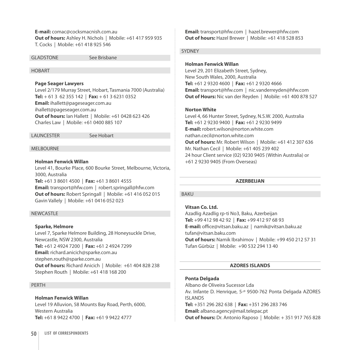**E-mail:** comac@cocksmacnish.com.au **Out of hours:** Ashley H. Nichols | Mobile: +61 417 959 935 T. Cocks | Mobile: +61 418 925 546

GLADSTONE See Brisbane

#### HOBART

#### **Page Seager Lawyers**

Level 2/179 Murray Street, Hobart, Tasmania 7000 (Australia) **Tel:** + 61 3 62 355 142 | **Fax:** + 61 3 6231 0352 **Email:** ihallett@pageseager.com.au ihallett@pageseager.com.au **Out of hours:** Ian Hallett | Mobile: +61 0428 623 426 Charles Law | Mobile: +61 0400 885 107

LAUNCESTER See Hobart

#### MELBOURNE

# **Holman Fenwick Willan**

Level 41, Bourke Place, 600 Bourke Street, Melbourne, Victoria, 3000, Australia **Tel:** +61 3 8601 4500 | **Fax:** +61 3 8601 4555 **Email:** transport@hfw.com | robert.springall@hfw.com **Out of hours:** Robert Springall | Mobile: +61 416 052 015 Gavin Vallely | Mobile: +61 0416 052 023

#### NEWCASTLE

#### **Sparke, Helmore**

Level 7, Sparke Helmore Building, 28 Honeysuckle Drive, Newcastle, NSW 2300, Australia **Tel:** +61 2 4924 7200 | **Fax:** +61 2 4924 7299 **Email:** richard.anicich@sparke.com.au stephen.routh@sparke.com.au **Out of hours:** Richard Anicich | Mobile: +61 404 828 238 Stephen Routh | Mobile: +61 418 168 200

#### PERTH

# **Holman Fenwick Willan**

Level 19 Alluvion, 58 Mounts Bay Road, Perth, 6000, Western Australia **Tel:** +61 8 9422 4700 | **Fax:** +61 9 9422 4777

**Email:** transport@hfw.com | hazel.brewer@hfw.com **Out of hours:** Hazel Brewer | Mobile: +61 418 528 853

# SYDNEY

# **Holman Fenwick Willan**

Level 29, 201 Elizabeth Street, Sydney, New South Wales, 2000, Australia **Tel:** +61 2 9320 4600 | **Fax:** +61 2 9320 4666 **Email:** transport@hfw.com | nic.vanderreyden@hfw.com **Out of Hours:** Nic van der Reyden | Mobile: +61 400 878 527

#### **Norton White**

Level 4, 66 Hunter Street, Sydney, N.S.W. 2000, Australia **Tel:** +61 2 9230 9400 | **Fax:** +61 2 9230 9499 **E-mail:** robert.wilson@norton.white.com nathan.cecil@norton.white.com **Out of hours:** Mr. Robert Wilson | Mobile: +61 412 307 636 Mr. Nathan Cecil | Mobile: +61 405 239 402 24 hour Client service (02) 9230 9405 (Within Australia) or +61 2 9230 9405 (From Overseas)

# **AZERBEIJAN**

# BAKU

# **Vitsan Co. Ltd.**

Azadlig Azadlig rp-ti No3, Baku, Azerbeijan **Tel:** +99 412 98 42 92 | **Fax:** +99 412 97 68 93 **E-mail:** office@vitsan.baku.az | namik@vitsan.baku.az tufan@vitsan.baku.com **Out of hours:** Namik Ibrahimov | Mobile: +99 450 212 57 31 Tufan Gürbüz | Mobile: +90 532 294 13 40

#### **AZORES ISLANDS**

#### **Ponta Delgada**

Albano de Oliveira Sucessor Lda Av. Infante D. Henrique, 5-º 9500-762 Ponta Delgada AZORES ISLANDS **Tel:** +351 296 282 638 | **Fax:** +351 296 283 746 **Email:** albano.agency@mail.telepac.pt **Out of hours:** Dr. Antonio Raposo | Mobile: + 351 917 765 828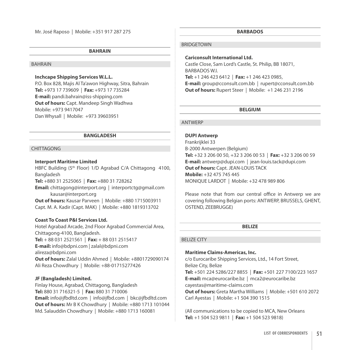Mr. José Raposo | Mobile: +351 917 287 275

#### **BAHRAIN**

#### BAHRAIN

# **Inchcape Shipping Services W.L.L.**

P.O. Box 828, Majis Al Ta'awon Highway, Sitra, Bahrain **Tel:** +973 17 739609 | **Fax:** +973 17 735284 **E-mail:** pandi.bahrain@iss-shipping.com **Out of hours:** Capt. Mandeep Singh Wadhwa Mobile: +973 9417047 Dan Whysall | Mobile: +973 39603951

#### **BANGLADESH**

# CHITTAGONG

#### **Interport Maritime Limited**

HBFC Building (5<sup>th</sup> Floor) 1/D Agrabad C/A Chittagong 4100, Bangladesh **Tel:** +880 31 2525065 | **Fax:** +880 31 728262

**Email:** chittagong@interport.org | interportctg@gmail.com kausar@interport.org

**Out of hours:** Kausar Parveen | Mobile: +880 1715003911 Capt. M. A. Kadir (Capt. MAK) | Mobile: +880 1819313702

# **Coast To Coast P&I Services Ltd.**

Hotel Agrabad Arcade, 2nd Floor Agrabad Commercial Area, Chittagong-4100, Bangladesh. **Tel:** + 88 031 2521561 | **Fax:** + 88 031 2515417

**E-mail:** info@bdpni.com | zalal@bdpni.com

alireza@bdpni.com

**Out of hours:** Zalal Uddin Ahmed | Mobile: +8801729090174 Ali Reza Chowdhury | Mobile: +88-01715277426

# **JF (Bangladesh) Limited.**

Finlay House, Agrabad, Chittagong, Bangladesh **Tel:** 880 31 716321-5 | **Fax:** 880 31 710006 **Email:** info@jfbdltd.com | info@jfbd.com | bkc@jfbdltd.com **Out of hours:** Mr B K Chowdhury | Mobile: +880 1713 101044 Md. Salauddin Chowdhury | Mobile: +880 1713 160081

#### **BARBADOS**

# **BRIDGETOWN**

**Cariconsult International Ltd.** Castle Close, Sam Lord's Castle, St. Philip, BB 18071, BARBADOS W.I. **Tel:** +1 246 423 6412 | **Fax:** +1 246 423 0985, **E-mail:** group@cconsult.com.bb | rupert@cconsult.com.bb **Out of hours:** Rupert Steer | Mobile: +1 246 231 2196

#### **BELGIUM**

#### ANTWERP

#### **DUPI Antwerp**

Frankrijklei 33 B-2000 Antwerpen (Belgium) **Tel:** +32 3 206 00 50, +32 3 206 00 53 | **Fax:** +32 3 206 00 59 **E-mail:** antwerp@dupi.com | jean-louis.tack@dupi.com **Out of hours:** Capt. JEAN-LOUIS TACK **Mobile:** +32 475 745 445 MONIQUE LARDOT | Mobile: +32 478 989 806

Please note that from our central office in Antwerp we are covering following Belgian ports: ANTWERP, BRUSSELS, GHENT, OSTEND, ZEEBRUGGE)

**BELIZE**

#### BELIZE CITY

#### **Maritime Claims-Americas, Inc.**

c/o Eurocaribe Shipping Services, Ltd., 14 Fort Street, Belize City, Belize **Tel:** +501 224 5286/227 8855 | **Fax:** +501 227 7100/223 1657 **E-mail:** mca@eurocaribe.bz | mca2@eurocaribe.bz cayestas@maritime-claims.com **Out of hours:** Greta Martha Williams | Mobile: +501 610 2072 Carl Ayestas | Mobile: +1 504 390 1515

(All communications to be copied to MCA, New Orleans **Tel:** +1 504 523 9811 | **Fax:** +1 504 523 9818)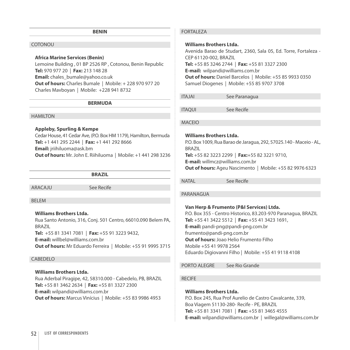#### **BENIN**

#### COTONOU

# **Africa Marine Services (Benin)**

Lemoine Building , 01 BP 2526 RP , Cotonou, Benin Republic **Tel:** 970 977 20 | **Fax:** 213 148 28 **Email:** chales\_bumale@yahoo.co.uk **Out of hours:** Charles Bumale | Mobile: + 228 970 977 20 Charles Mavboyan | Mobile: +228 941 8732

#### **BERMUDA**

#### HAMILTON

# **Appleby, Spurling & Kempe**

Cedar House, 41 Cedar Ave, (P.O. Box HM 1179), Hamilton, Bermuda **Tel:** +1 441 295 2244 | **Fax:** +1 441 292 8666 **Email:** jriihiluoma@ask.bm **Out of hours:** Mr. John E. Riihiluoma | Mobile: +1 441 298 3236

**BRAZIL**

ARACAJU See Recife

#### BELEM

#### **Williams Brothers Ltda.**

Rua Santo Antonio, 316, Conj. 501 Centro, 66010.090 Belem PA, BRAZIL **Tel:** +55 81 3341 7081 | **Fax:** +55 91 3223 9432, **E-mail:** willbel@williams.com.br **Out of hours:** Mr Eduardo Ferreira | Mobile: +55 91 9995 3715

#### CABEDELO

# **Williams Brothers Ltda.**

Rua Aderbal Piragipe, 42, 58310.000 - Cabedelo, PB, BRAZIL **Tel:** +55 81 3462 2634 | **Fax:** +55 81 3327 2300 **E-mail:** wilpandi@williams.com.br **Out of hours:** Marcus Vinícius | Mobile: +55 83 9986 4953

# FORTALEZA

#### **Williams Brothers Ltda.**

Avenida Barao de Studart, 2360, Sala 05, Ed. Torre, Fortaleza - CEP 61120-002, BRAZIL **Tel:** +55 85 3246 2744 | **Fax:** +55 81 3327 2300 **E-mail:** wilpandi@williams.com.br **Out of hours:** Daniel Barcelos | Mobile: +55 85 9933 0350 Samuel Diogenes | Mobile: +55 85 9707 3708

ITAJAI See Paranagua

ITAQUI See Recife

#### MACEIO

# **Williams Brothers Ltda.**

P.O. Box 1009, Rua Barao de Jaragua, 292, 57025.140 - Maceio - AL, BRAZIL **Tel:** +55 82 3223 2299 | **Fax:**+55 82 3221 9710, **E-mail:** willmcz@williams.com.br **Out of hours:** Ageu Nascimento | Mobile: +55 82 9976 6323

NATAL See Recife

#### PARANAGUA

#### **Van Herp & Frumento (P&I Services) Ltda.**

P.O. Box 355 - Centro Historico, 83.203-970 Paranagua, BRAZIL **Tel:** +55 41 3422 5512 | **Fax:** +55 41 3423 1691, **E-mail:** pandi-png@pandi-png.com.br frumento@pandi-png.com.br **Out of hours:** Joao Helio Frumento Filho Mobile +55 41 9978 2564 Eduardo Digiovanni Filho | Mobile: +55 41 9118 4108

PORTO ALEGRE See Rio Grande

# RECIFE

# **Williams Brothers Ltda.**

P.O. Box 245, Rua Prof Aurelio de Castro Cavalcante, 339, Boa Viagem 51130-280- Recife - PE, BRAZIL **Tel:** +55 81 3341 7081 | **Fax:** +55 81 3465 4555 **E-mail:** wilpandi@williams.com.br | willegal@williams.com.br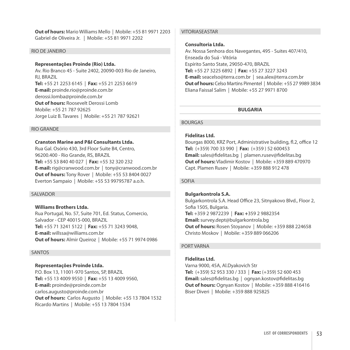**Out of hours:** Mario Williams Mello | Mobile: +55 81 9971 2203 Gabriel de Oliveira Jr. | Mobile: +55 81 9971 2202

#### RIO DE JANEIRO

#### **Representações Proinde (Rio) Ltda.**

Av. Rio Branco 45 - Suite 2402, 20090-003 Rio de Janeiro, RJ, BRAZIL **Tel:** +55 21 2253 6145 | **Fax:** +55 21 2253 6619 **E-mail:** proinde.rio@proinde.com.br derossi.lomba@proinde.com.br **Out of hours:** Roosevelt Derossi Lomb Mobile: +55 21 787 92625 Jorge Luiz B. Tavares | Mobile: +55 21 787 92621

#### RIO GRANDE

#### **Cranston Marine and P&I Consultants Ltda.**

Rua Gal. Osório 430, 3rd Floor Suite B4, Centro, 96200.400 - Rio Grande, RS, BRAZIL **Tel:** +55 53 840 40 027 | **Fax:** +55 32 320 232 **E-mail:** rig@cranwood.com.br | tony@cranwood.com.br **Out of hours:** Tony Rover | Mobile: +55 53 8404 0027 Everton Sampaio | Mobile: +55 53 99795787 a.o.h.

#### SALVADOR

# **Williams Brothers Ltda.**

Rua Portugal, No. 57, Suite 701, Ed. Status, Comercio, Salvador - CEP 40015-000, BRAZIL **Tel:** +55 71 3241 5122 | **Fax:** +55 71 3243 9048, **E-mail:** willssa@williams.com.br **Out of hours:** Almir Queiroz | Mobile: +55 71 9974 0986

#### SANTOS

#### **Representações Proinde Ltda.**

P.O. Box 13, 11001-970 Santos, SP, BRAZIL **Tel:** +55 13 4009 9550 | **Fax:** +55 13 4009 9560, **E-mail:** proinde@proinde.com.br carlos.augusto@proinde.com.br **Out of hours:** Carlos Augusto | Mobile: +55 13 7804 1532 Ricardo Martins | Mobile: +55 13 7804 1534

# VITORIASEASTAR

# **Consultoria Ltda.**

Av. Nossa Senhora dos Navegantes, 495 - Suites 407/410, Enseada do Suá - Vitória Espírito Santo State, 29050-470, BRAZIL **Tel:** +55 27 3225 6892 | **Fax:** +55 27 3227 3243 **E-mail:** seacelso@terra.com.br | sea.alex@terra.com.br **Out of hours:** Celso Martins Pimentel | Mobile: +55 27 9989 3834 Eliana Faissal Salim | Mobile: +55 27 9971 8700

## **BULGARIA**

# BOURGAS

# **Fidelitas Ltd.**

Bourgas 8000, KRZ Port, Administrative building, fl.2, office 12 **Tel:** (+359) 700 33 990 | **Fax:** (+359 ) 52 600453 **Email:** sales@fidelitas.bg | plamen.rusev@fidelitas.bg **Out of hours:** Vladimir Kostov | Mobile: +359 889 470970 Capt. Plamen Rusev | Mobile: +359 888 912 478

#### SOFIA

#### **Bulgarkontrola S.A.**

Bulgarkontrola S.A. Head Office 23, Sitnyakovo Blvd., Floor 2, Sofia 1505, Bulgaria. **Tel:** +359 2 9872239 | **Fax: +**359 2 9882354 **Email:** survey.dept@bulgarkontrola.bg **Out of hours:** Rosen Stoyanov | Mobile: +359 888 224658 Christo Moskov | Mobile: +359 889 066206

# PORT VARNA

# **Fidelitas Ltd.**

Varna 9000, 45A, Al.Dyakovich Str **Tel:** (+359) 52 953 330 / 333 | **Fax:** (+359) 52 600 453 **Email:** sales@fidelitas.bg | ognyan.kostov@fidelitas.bg **Out of hours:** Ognyan Kostov | Mobile: +359 888 416416 Biser Diveri | Mobile: +359 888 925825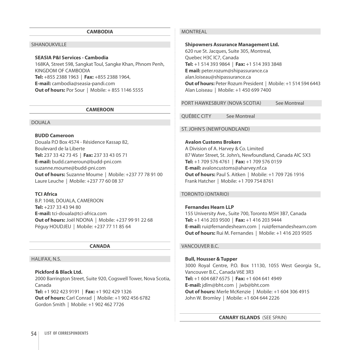#### **CAMBODIA**

#### SIHANOUKVILLE

#### **SEASIA P&I Services - Cambodia**

168KA, Street 598, Sangkat Toul, Sangke Khan, Phnom Penh, KINGDOM OF CAMBODIA **Tel:** +855 2388 1963 | **Fax:** +855 2388 1964, **E-mail:** cambodia@seasia-pandi.com **Out of hours:** Por Sour | Mobile: + 855 1146 5555

#### **CAMEROON**

# DOUALA

# **BUDD Cameroon**

Douala P.O Box 4574 - Résidence Kassap 82, Boulevard de la Liberte **Tel:** 237 33 42 73 45 | **Fax:** 237 33 43 05 71 **E-mail:** budd.cameroun@budd-pni.com suzanne.moume@budd-pni.com **Out of hours:** Suzanne Moume | Mobile: +237 77 78 91 00 Laure Leuche | Mobile: +237 77 60 08 37

#### **Tci Africa**

B.P. 1048, DOUALA, CAMEROON **Tel:** +237 33 43 94 80 **E-mail:** tci-douala@tci-africa.com **Out of hours:** Joël NDONA | Mobile: +237 99 91 22 68 Péguy HOUDJEU | Mobile: +237 77 11 85 64

#### **CANADA**

# Halifax, N.S.

**Pickford & Black Ltd.**  2000 Barrington Street, Suite 920, Cogswell Tower, Nova Scotia, Canada **Tel:** +1 902 423 9191 | **Fax:** +1 902 429 1326 **Out of hours:** Carl Conrad | Mobile: +1 902 456 6782 Gordon Smith | Mobile: +1 902 462 7726

# **MONTREAL**

**Shipowners Assurance Management Ltd.**  620 rue St. Jacques, Suite 305, Montreal, Quebec H3C lC7, Canada **Tel:** +1 514 393 9864 | **Fax:** +1 514 393 3848 **E mail:** peter.rozum@shipassurance.ca alan.loiseau@shipassurance.ca **Out of hours:** Peter Rozum President | Mobile: +1 514 594 6443 Alan Loiseau | Mobile: +1 450 699 7400

PORT HAWKESBURY (NOVA SCOTIA) See Montreal

Québec City See Montreal

# St. John's (Newfoundland)

# **Avalon Customs Brokers**

A Division of A. Harvey & Co. Limited 87 Water Street, St. John's, Newfoundland, Canada AIC 5X3 **Tel:** +1 709 576 4761 | **Fax:** +1 709 576 0159 **E-mail:** avaloncustoms@aharvey.nf.ca **Out of hours:** Paul S. Aitken | Mobile: +1 709 726 1916 Frank Hatcher | Mobile: +1 709 754 8761

#### Toronto (Ontario)

# **Fernandes Hearn LLP**

155 University Ave., Suite 700, Toronto M5H 3B7, Canada **Tel:** +1 416 203 9500 | **Fax:** +1 416 203 9444 **E-mail:** rui@fernandeshearn.com | rui@fernandeshearn.com **Out of hours:** Rui M. Fernandes | Mobile: +1 416 203 9505

# Vancouver B.C.

**Bull, Housser & Tupper**  3000 Royal Centre, P.O. Box 11130, 1055 West Georgia St., Vancouver B.C., Canada V6E 3R3 **Tel:** +1 604 687 6575 | **Fax:** +1 604 641 4949 **E-mail:** jdlm@bht.com | jwb@bht.com **Out of hours:** Merle McKenzie | Mobile: +1 604 306 4915 John W. Bromley | Mobile: +1 604 644 2226

**CANARY ISLANDS** (SEE SPAIN)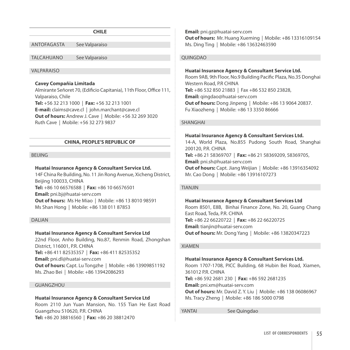#### **CHILE**

Antofagasta See Valparaiso

Talcahuano See Valparaiso

#### **VALPARAISO**

#### **Cavey Compañia Limitada**

Almirante Señoret 70, (Edificio Capitania), 11th Floor, Office 111, Valparaiso, Chile **Tel:** +56 32 213 1000 | **Fax:** +56 32 213 1001 **E-mail:** claims@cave.cl | john.marchant@cave.cl **Out of hours:** Andrew J. Cave | Mobile: +56 32 269 3020 Ruth Cave | Mobile: +56 32 273 9837

#### **CHINA, PEOPLE'S REPUBLIC OF**

#### **BEIJING**

#### **Huatai Insurance Agency & Consultant Service Ltd.**

14F China Re Building, No. 11 Jin Rong Avenue, Xicheng District, Beijing 100033, CHINA **Tel:** +86 10 66576588 | **Fax:** +86 10 66576501 **Email:** pni.bj@huatai-serv.com **Out of hours:** Ms He Miao | Mobile: +86 13 8010 98591 Ms Shan Hong | Mobile: +86 138 011 87853

#### **DALIAN**

# **Huatai Insurance Agency & Consultant Service Ltd**

22nd Floor, Anho Building, No.87, Renmin Road, Zhongshan District, 116001, P.R. CHINA **Tel:** +86 411 82535357 | **Fax:** +86 411 82535352 **Email:** pni.dl@huatai-serv.com **Out of hours:** Capt. Lu Tongzhe | Mobile: +86 13909851192 Ms. Zhao Bei | Mobile: +86 13942086293

#### GUANGZHOU

#### **Huatai Insurance Agency & Consultant Service Ltd**

Room 2110 Jun Yuan Mansion, No. 155 Tian He East Road Guangzhou 510620, P.R. CHINA **Tel:** +86 20 38816560 | **Fax:** +86 20 38812470

**Email:** pni.gz@huatai-serv.com **Out of hours:** Mr. Huang Xueming | Mobile: +86 13316109154 Ms. Ding Ting | Mobile: +86 13632463590

#### QUINGDAO

#### **Huatai Insurance Agency & Consultant Service Ltd.**

Room 9AB, 9th Floor, No.9 Building Pacific Plaza, No.35 Donghai Western Road, P.R CHINA **Tel:** +86 532 850 21883 | Fax +86 532 850 23828, **Email:** qingdao@huatai-serv.com **Out of hours:** Dong Jinpeng | Mobile: +86 13 9064 20837. Fu Xiaozheng | Mobile: +86 13 3350 86666

#### SHANGHAI

#### **Huatai Insurance Agency & Consultant Services Ltd.**

14-A, World Plaza, No.855 Pudong South Road, Shanghai 200120, P.R. CHINA **Tel:** +86 21 58369707 | **Fax:** +86 21 58369209, 58369705, **Email:** pni.sh@huatai-serv.com **Out of hours:** Capt. Jiang Weijian | Mobile: +86 13916354092 Mr. Cao Dong | Mobile: +86 13916107273

#### TIANJIN

#### **Huatai Insurance Agency & Consultant Services Ltd**

Room 8501, E8B, Binhai Finance Zone, No. 20, Guang Chang East Road, Teda, P.R. CHINA **Tel:** +86 22 66220722 | **Fax:** +86 22 66220725 **Email:** tianjin@huatai-serv.com **Out of hours:** Mr. Dong Yang | Mobile: +86 13820347223

#### XIAMEN

#### **Huatai Insurance Agency & Consultant Services Ltd.**

Room 1707-1708, PICC Building, 68 Hubin Bei Road, Xiamen, 361012 P.R. CHINA **Tel:** +86 592 2681 230 | **Fax:** +86 592 2681235 **Email:** pni.xm@huatai-serv.com **Out of hours:** Mr. David Z. Y. Liu | Mobile: +86 138 06086967 Ms. Tracy Zheng | Mobile: +86 186 5000 0798

YANTAI See Quingdao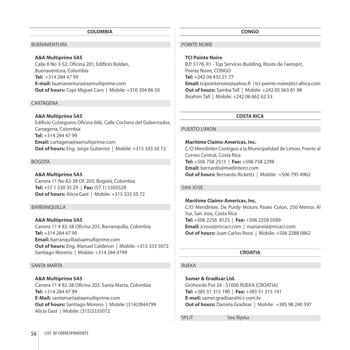#### **COLOMBIA**

# BUENAVENTURA

#### **A&A Multiprime SAS**

Calle 8 No 3-52, Oficina 201, Edificio Roldan, Buenaventura, Colombia **Tel:** +314 284 47 99 **E-mail:** buenaventura@aamultiprime.com **Out of hours:** Capt Miguel Caro | Mobile: +310 304 86 50

#### **CARTAGENA**

#### **A&A Multiprime SAS**

Edificio Colseguros Oficina 606, Calle Cochera del Gobernador, Cartagena, Colombia **Tel:** +314 284 47 99 **Email:** cartagena@aamultiprime.com **Out of hours:** Eng. Jorge Gutierrez | Mobile: +315 333 50 72

#### BOGOTA

#### **A&A Multiprime SAS**

Carrera 11 No 82-38 Of. 203, Bogotá, Colombia **Tel:** +57 1 530 35 29 | **Fax:** (57 1) 5303529 **Out of hours:** Alicia Gast | Mobile: +315 333 50 72

#### BARRANQUILLA

**A&A Multiprime SAS** Carrera 11 # 82-38 Oficina 203, Barranquilla, Colombia **Tel:** +314 284 47 99 **Email:** barranquilla@aamultiprime.com **Out of hours:** Eng. Manuel Calderon | Mobile: +315 333 5072 Santiago Moreno | Mobile: +314 284 4799

#### SANTA MARTA

**A&A Multiprime SAS** Carrera 11 # 82-38 Oficina 203. Santa Marta, Colombia **Tel:** +314 284 47 99 **E-Mail:** santamarta@aamultiprime.com **Out of hours:** Santiago Moreno | Mobile: (314)2844799 Alicia Gast | Mobile: (315)3335072

#### **CONGO**

#### POINTE NOIRE

**TCI Pointe Noire** B.P. 5178, R1 - Top Services Building, Route de l'aeroprt, Pointe Noire, CONGO **Tel:** +242 04 432 21 77 **Email:** tcipointenoire@yahoo.fr | tci-pointe-noire@tci-africa.com **Out of hours:** Samba Tall | Mobile: +242 05 563 81 98 Ibrahim Tall | Mobile: +242 06 662 62 53

# **COSTA RICA**

#### PUERTO LIMON

**Maritime Claims-Americas, Inc.**  c/o Mendinter Contiguo a la Municipalidad de Limon, Frente al Correo Central, Costa Rica **Tel:** +506 758 2515 | **Fax:** +506 758 2298 **Email:** bernardo@medintercr.com **Out of hours:** Bernardo Ricketts | Mobile: +506 795 4962

#### San Jose

# **Maritime Claims-Americas, Inc.**

C/O Mendinter, De Purdy Motors Paseo Colon, 250 Metros Al Sur, San Jose, Costa Rica **Tel:** +506 2256 8125 | **Fax:** +506 2258 0589 **Email:** jcrossi@mcacr.com | marianela@mcacr.com **Out of hours:** Juan Carlos Rossi | Mobile: +506 2288 0862

#### **CROATIA**

#### RIJEKA

**Samer & Gradisar Ltd.** Grohovski Put 24 - 51000 RIJEKA (CROATIA) **Tel:** +385 51 315 190 | **Fax:** +385 51 315 191 **E-mail:** samer.gradisar@hi.t-com.hr **Out of hours:** Daniela Gradisar | Mobile: +385 98 240 597

SPLIT See Rijeka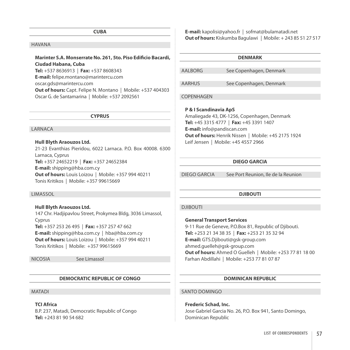**CUBA**

#### Havana

# **Marinter S.A. Monserrate No. 261, 5to. Piso Edificio Bacardi, Ciudad Habana, Cuba**

**Tel:** +537 8636913 | **Fax:** +537 8608343

**E-mail:** felipe.montano@marintercu.com oscar.gds@marintercu.com

**Out of hours:** Capt. Felipe N. Montano | Mobile: +537 404303 Oscar G. de Santamarina | Mobile: +537 2092561

**CYPRUS**

# **LARNACA**

#### **Hull Blyth Araouzos Ltd.**

21-23 Evanthias Pieridou, 6022 Larnaca. P.O. Box 40008. 6300 Larnaca, Cyprus **Tel:** +357 24652219 | **Fax:** +357 24652384 **E-mail:** shipping@hba.com.cy **Out of hours:** Louis Loizou | Mobile: +357 994 40211 Tonis Kritikos | Mobile: +357 99615669

#### Limassol

**Hull Blyth Araouzos Ltd.** 

147 Chr. Hadjipavlou Street, Prokymea Bldg, 3036 Limassol, Cyprus **Tel:** +357 253 26 495 | **Fax:** +357 257 47 662 **E-mail:** shipping@hba.com.cy | hba@hba.com.cy **Out of hours:** Louis Loizou | Mobile: +357 994 40211 Tonis Kritikos | Mobile: +357 99615669

Nicosia See Limassol

#### **DEMOCRATIC REPUBLIC OF CONGO**

#### **MATADI**

**TCI Africa** 

B.P. 237, Matadi, Democratic Republic of Congo **Tel:** +243 81 90 54 682

**E-mail:** kapolisi@yahoo.fr | sofmat@bulamatadi.net **Out of hours:** Kiskumba Bagulawi | Mobile: + 243 85 51 27 517

# **DENMARK**

| <b>AALBORG</b> | See Copenhagen, Denmark |
|----------------|-------------------------|
|                |                         |

AARHUS See Copenhagen, Denmark

#### COPENHAGEN

#### **P & I Scandinavia ApS**

Amaliegade 43, DK-1256, Copenhagen, Denmark **Tel:** +45 3315 4777 | **Fax:** +45 3391 1407 **E-mail:** info@pandiscan.com **Out of hours:** Henrik Nissen | Mobile: +45 2175 1924 Leif Jensen | Mobile: +45 4557 2966

# **DIEGO GARCIA**

Diego Garcia See Port Reunion, Ile de la Reunion

#### **DJIBOUTI**

# **DJIBOUTI**

**General Transport Services** 9-11 Rue de Geneve, P.O.Box 81, Republic of Djibouti. **Tel:** +253 21 34 38 35 | **Fax:** +253 21 35 32 94 **E-mail:** GTS.Djibouti@gsk-group.com ahmed.guelleh@gsk-group.com **Out of hours:** Ahmed O Guelleh | Mobile: +253 77 81 18 00 Farhan Abdillahi |Mobile: +253 77 81 07 87

#### **DOMINICAN REPUBLIC**

# Santo Domingo

# **Frederic Schad, Inc.**

Jose Gabriel Garcia No. 26, P.O. Box 941, Santo Domingo, Dominican Republic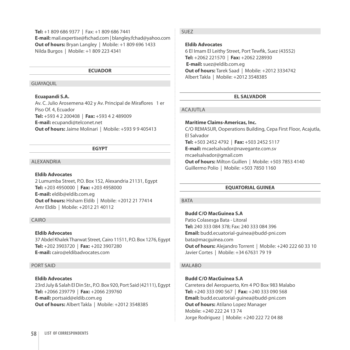**Tel:** +1 809 686 9377 | Fax: +1 809 686 7441 **E-mail:** mail.expertise@fschad.com | blangley.fchad@yahoo.com **Out of hours:** Bryan Langley | Mobile: +1 809 696 1433 Nilda Burgos | Mobile: +1 809 223 4341

#### **ECUADOR**

#### GUAYAQUIL

#### **Ecuapandi S.A.**

Av. C. Julio Arosemena 402 y Av. Principal de Miraflores 1 er Piso Of. 4, Ecuador **Tel:** +593 4 2 200408 | **Fax:** +593 4 2 489009 **E-mail:** ecupandi@telconet.net **Out of hours:** Jaime Molinari | Mobile: +593 9 9 405413

#### **EGYPT**

#### **ALEXANDRIA**

#### **Eldib Advocates**

2 Lumumba Street, P.O. Box 152, Alexandria 21131, Egypt **Tel:** +203 4950000 | **Fax:** +203 4958000 **E-mail:** eldib@eldib.com.eg **Out of hours:** Hisham Eldib | Mobile: +2012 21 77414 Amr Eldib | Mobile: +2012 21 40112

#### CAIRO

# **Eldib Advocates**

37 Abdel Khalek Tharwat Street, Cairo 11511, P.O. Box 1276, Egypt **Tel:** +202 3903720 | **Fax:** +202 3907280 **E-mail:** cairo@eldibadvocates.com

#### PORT SAID

#### **Eldib Advocates**

23rd July & Salah El Din Str., P.O. Box 920, Port Said (42111), Egypt **Tel:** +2066 239779 | **Fax:** +2066 239760 **E-mail:** portsaid@eldib.com.eg **Out of hours:** Albert Takla | Mobile: +2012 3548385

# Suez

# **Eldib Advocates**

6 El Imam El Leithy Street, Port Tewfik, Suez (43552) **Tel:** +2062 221570 | **Fax:** +2062 228930 **E-mail:** suez@eldib.com.eg **Out of hours:** Tarek Saad | Mobile: +2012 3334742 Albert Takla | Mobile: +2012 3548385

#### **EL SALVADOR**

#### ACA JUTI A

# **Maritime Claims-Americas, Inc.**

C/O REMASUR, Ooperations Building, Cepa First Floor, Acajutla, El Salvador **Tel:** +503 2452 4792 | **Fax:** +503 2452 5117 **E-mail:** mcaelsalvador@navegante.com.sv mcaelsalvador@gmail.com **Out of hours:** Milton Guillen | Mobile: +503 7853 4140 Guillermo Polio | Mobile: +503 7850 1160

#### **EQUATORIAL GUINEA**

#### **BATA**

**Budd C/O MacGuinea S.A** Patio Colasesga Bata - Litoral **Tel:** 240 333 084 378; Fax: 240 333 084 396 **Email:** budd.ecuatorial-guinea@budd-pni.com bata@macguinea.com **Out of hours:** Alejandro Torrent | Mobile: +240 222 60 33 10 Javier Cortes | Mobile: +34 67631 79 19

#### MAI ARO

#### **Budd c/o MacGuinea S.A**

Carretera del Aeropuerto, Km 4 PO Box 983 Malabo **Tel:** +240 333 090 567 | **Fax:** +240 333 090 568 **Email:** budd.ecuatorial-guinea@budd-pni.com **Out of hours:** Atilano Lopez Manager Mobile: +240 222 24 13 74 Jorge Rodriguez | Mobile: +240 222 72 04 88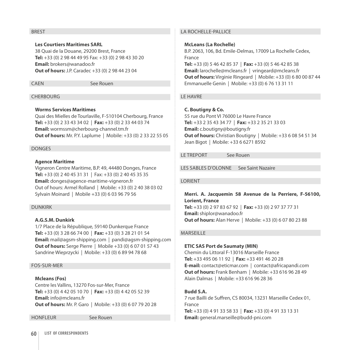#### **BREST**

**Les Courtiers Maritimes SARL** 38 Quai de la Douane, 29200 Brest, France **Tel:** +33 (0) 2 98 44 49 95 Fax: +33 (0) 2 98 43 30 20 **Email:** brokers@wanadoo.fr **Out of hours:** J.P. Caradec +33 (0) 2 98 44 23 04

CAEN See Rouen

#### CHERBOURG

#### **Worms Services Maritimes**

Quai des Mielles de Tourlaville, F-510104 Cherbourg, France **Tel:** +33 (0) 2 33 43 34 02 | **Fax:** +33 (0) 2 33 44 03 74 **Email:** wormssm@cherbourg-channel.tm.fr **Out of hours:** Mr. P.Y. Laplume | Mobile: +33 (0) 2 33 22 55 05

## Donges

#### **Agence Maritime**

Vigneron Centre Maritime, B.P. 49, 44480 Donges, France **Tel:** +33 (0) 2 40 45 31 31 | Fax: +33 (0) 2 40 45 35 35 **Email:** donges@agence-maritime-vigneron.fr Out of hours: Armel Rolland | Mobile: +33 (0) 2 40 38 03 02 Sylvain Moinard | Mobile +33 (0) 6 03 96 79 56

# Dunkirk

# **A.G.S.M. Dunkirk**

1/7 Place de la République, 59140 Dunkerque France **Tel:** +33 (0) 3 28 66 74 00 | **Fax:** +33 (0) 3 28 21 01 54 **Email:** mail@agsm-shipping.com | pandi@agsm-shipping.com **Out of hours:** Serge Pierre | Mobile +33 (0) 6 07 01 57 43 Sandrine Wieprzycki | Mobile: +33 (0) 6 89 94 78 68

#### Fos-sur-Mer

#### **Mcleans (Fos)**

Centre les Vallins, 13270 Fos-sur-Mer, France **Tel:** +33 (0) 4 42 05 10 70 | **Fax:** +33 (0) 4 42 05 52 39 **Email:** info@mcleans.fr **Out of hours:** Mr. P. Garo | Mobile: +33 (0) 6 07 79 20 28

HonfleurSee Rouen

# La Rochelle-Pallice

#### **McLeans (La Rochelle)**

B.P. 2063, 106, Bd. Emile-Delmas, 17009 La Rochelle Cedex, France **Tel:** +33 (0) 5 46 42 85 37 | **Fax:** +33 (0) 5 46 42 85 38 **Email:** larochelle@mcleans.fr | vringeard@mcleans.fr **Out of hours:** Virginie Ringeard | Mobile: +33 (0) 6 80 00 87 44 Emmanuelle Genin | Mobile: +33 (0) 6 76 13 31 11

# Le Havre

# **C. Boutigny & Co.**

55 rue du Pont VI 76000 Le Havre France **Tel:** +33 2 35 43 34 77 | **Fax:** +33 2 35 21 33 03 **Email:** c.boutigny@boutigny.fr **Out of hours:** Christian Boutigny | Mobile: +33 6 08 54 51 34 Jean Bigot | Mobile: +33 6 6271 8592

LE TREPORT See Rouen

Les Sables D'Olonne See Saint Nazaire

#### **LORIENT**

**Merri. A. Jacquemin 58 Avenue de la Perriere, F-56100, Lorient, France Tel:** +33 (0) 2 97 83 67 92 | **Fax:** +33 (0) 2 97 37 77 31 **Email:** shiplor@wanadoo.fr **Out of hours:** Alan Herve | Mobile: +33 (0) 6 07 80 23 88

# **MARSFILLE**

#### **ETIC SAS Port de Saumaty (MIN)**

Chemin du Littoral F-13016 Marseille France **Tel:** +33 495 06 11 92 | **Fax:** +33 491 46 20 28 **E-mail:** contact@eticmar.com | contact@africapandi.com **Out of hours:** Frank Benham | Mobile: +33 616 96 28 49 Alain Dalmas | Mobile: +33 616 96 28 36

# **Budd S.A.**

7 rue Bailli de Suffren, CS 80034, 13231 Marseille Cedex 01, France **Tel:** +33 (0) 4 91 33 58 33 | **Fax:** +33 (0) 4 91 33 13 31 **Email:** general.marseille@budd-pni.com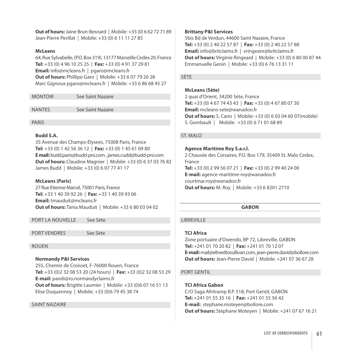**Out of hours:** Jaine Brun-Besnard | Mobile: +33 (0) 6 62 72 71 89 Jean-Pierre Perillat | Mobile: +33 (0) 6 11 11 27 85

# **McLeans**

64, Rue Sylvabelle, (P.O. Box 319), 13177 Marseille Cedex 20, France **Tel:** +33 (0) 4 96 10 25 25 | **Fax:** +33 (0) 4 91 37 29 81 **Email:** info@mcleans.fr | pgaro@mcleans.fr **Out of hours:** Phillipe Garo | Mobile: +33 6 07 79 20 28 Marc Gignoux pgaro@mcleans.fr | Mobile: +33 6 86 68 45 27

| <b>MONTOIR</b> | See Saint Nazaire |
|----------------|-------------------|
|                |                   |

Nantes See Saint Nazaire

Paris

# **Budd S.A.**

35 Avenue des Champs-Elysees, 75008 Paris, France **Tel:** +33 (0) 1 42 56 36 12 | **Fax:** +33 (0) 1 45 61 09 80 **E mail:** budd.paris@budd-pni.com , james.cudd@budd-pni.com **Out of hours:** Claudine Magnier | Mobile: +33 (0) 6 37 03 76 82 James Budd | Mobile: +33 (0) 6 07 77 41 17

# **McLeans (Paris)**

27 Rue Etienne Marcel, 75001 Paris, France **Tel:** +33 1 40 39 92 26 | **Fax:** +33 1 40 39 93 06 **Email:** tmauduit@mcleans.fr **Out of hours:** Tania Mauduit | Mobile: +33 6 80 03 04 02

PORT LA NOUVELLE See Sète

PORT VENDRES See Sète

# **ROUEN**

# **Normandy P&I Services**

255, Chemin de Croisset, F-76000 Rouen, France **Tel:** +33 (0)2 32 08 53 20 (24 hours) | **Fax:** +33 (0)2 32 08 53 29 **E-mail:** pandi@ro.normandyclaims.fr **Out of hours:** Brigitte Laumier | Mobile: +33 (0)6 07 16 51 13 Elise Duquennoy | Mobile: +33 (0)6 79 45 38 74

# Saint Nazaire

# **Brittany P&I Services**

5bis Bd de Verdun, 44600 Saint Nazaire, France **Tel:** +33 (0) 2 40 22 57 87 | **Fax:** +33 (0) 2 40 22 57 88 **Email:** info@britclaims.fr | vringeanr@britclaims.fr **Out of hours:** Virginie Ringeard | Mobile: +33 (0) 6 80 00 87 44 Emmanuelle Genin | Mobile: +33 (0) 6 76 13 31 11

# SÈTE

# **McLeans (Sète)**

2 quai d'Orient, 34200 Sète, France **Tel:** +33 (0) 4 67 74 43 43 | **Fax:** +33 (0) 4 67 80 07 30 **Email:** mcleans-sete@wanadoo.fr **Out of hours:** S. Cano |Mobile: +33 (0) 6 03 04 60 07(mobile) S. Gombault | Mobile: +33 (0) 6 71 01 68 89

# St. Malo

# **Agence Maritime Roy S.a.r.l.**

2 Chausée des Corsaires, P.O. Box 179, 35409 St. Malo Cedex, France **Tel:** +33 (0) 2 99 56 07 21 | **Fax:** +33 (0) 2 99 40 24 00 **E-mail:** agence-maritime-roy@wanadoo.fr courtmar.roy@wanadoo.fr **Out of hours:** M. Roy | Mobile: +33 6 8201 2710

# **GABON**

# **LIBREVILLE**

# **TCI Africa**

Zone portuaire d'Owendo, BP 72, Libreville, GABON **Tel:** +241 01 70 20 82 | **Fax:** +241 01 70 12 07 **E-mail:** mail@eltvedtosullivan.com, jean-pierre.david@bollore.com **Out of hours:** Jean-Pierre David | Mobile: +241 07 36 67 28

# PORT GENTIL

# **TCI Africa Gabon**

C/O Saga Afritramp B.P. 518, Port Gentil, GABON **Tel:** +241 01 55 35 16 | **Fax:** +241 01 55 56 42 **E-mail:** stephane.moteyen@bollore.com **Out of hours:** Stéphane Moteyen | Mobile: +241 07 67 16 21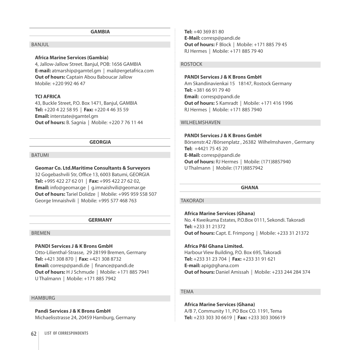#### **GAMBIA**

# **BANJUL**

# **Africa Marine Services (Gambia)**

4, Jallow-Jallow Street. Banjul, POB: 1656 GAMBIA **E-mail:** atmarship@gamtel.gm | mail@ergetafrica.com **Out of hours:** Captain Abou Baboucar Jallow Mobile: +220 992 46 47

#### **TCI AFRICA**

43, Buckle Street, P.O. Box 1471, Banjul, GAMBIA **Tel:** +220 4 22 58 95 | **Fax:** +220 4 46 35 59 **Email:** interstate@gamtel.gm **Out of hours:** B. Sagnia | Mobile: +220 7 76 11 44

#### **GEORGIA**

#### **BATUMI**

 $\overline{\phantom{a}}$ 

#### **Geomar Co. Ltd.Maritime Consultants & Surveyors**

32 Gogebashvili Str, Office 13, 6003 Batumi, GEORGIA **Tel:** +995 422 27 62 01 | **Fax:** +995 422 27 62 02, **Email:** info@geomar.ge | g.imnaishvili@geomar.ge **Out of hours:** Tariel Dolidze | Mobile: +995 959 558 507 George Imnaishvili | Mobile: +995 577 468 763

#### **GERMANY**

#### Bremen

# **Pandi Services J & K Brons GmbH**

Otto-Lilienthal-Strasse, 29 28199 Bremen, Germany **Tel:** +421 308 870 | **Fax:** +421 308 8732 **Email:** corresp@pandi.de | finance@pandi.de **Out of hours:** H J Schmude | Mobile: +171 885 7941 U Thalmann | Mobile: +171 885 7942

#### **HAMBURG**

**Pandi Services J & K Brons GmbH** Michaelisstrasse 24, 20459 Hamburg, Germany **Tel:** +40 369 81 80 **E-Mail:** corresp@pandi.de **Out of hours:** F Block | Mobile: +171 885 79 45 RJ Hermes | Mobile: +171 885 79 40

#### Rostock

# **PANDI Services J & K Brons GmbH**

Am Skandinavienkai 15 18147, Rostock Germany **Tel:** +381 66 91 79 40 **Email:** corresp@pandi.de **Out of hours:** S Kamradt | Mobile: +171 416 1996 RJ Hermes | Mobile: +171 885 7940

#### WII HFI MSHAVFN

#### **PANDI Services J & K Brons GmbH**

Börsenstr.42 /Börsenplatz , 26382 Wilhelmshaven , Germany **Tel:** +4421 75 45 20 **E-Mail:** corresp@pandi.de **Out of hours:** RJ Hermes | Mobile: (171)8857940 U Thalmann | Mobile: (171)8857942

#### **GHANA**

#### **TAKORADI**

**Africa Marine Services (Ghana)** No. 4 Kweikuma Estates, P.O.Box 0111, Sekondi. Takoradi **Tel:** +233 31 21372 **Out of hours:** Capt. E. Frimpong | Mobile: +233 31 21372

# **Africa P&I Ghana Limited.**

Harbour View Building, P.O. Box 695, Takoradi **Tel:** +233 31 23 704 | **Fax:** +233 31 91 621 **E-mail:** apig@ghana.com **Out of hours:** Daniel Amissah | Mobile: +233 244 284 374

#### **TEMA**

**Africa Marine Services (Ghana)** A/B 7, Community 11, PO Box CO. 1191, Tema **Tel:** +233 303 30 6619 | **Fax:** +233 303 306619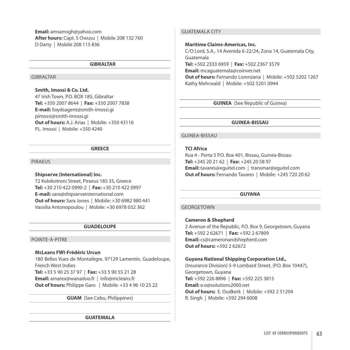**Email:** amsamsgh@yahoo.com **After hours:** Capt. S Owusu | Mobile 208 132 760 D Darty | Mobile 208 115 836

#### **GIBRALTAR**

# **GIBRALTAR**

# **Smith, Imossi & Co. Ltd.**

47 Irish Town, P.O. BOX 185, Gibraltar **Tel:** +350 2007 8644 | **Fax:** +350 2007 7838 **E-mail:** lloydsagent@smith-imossi.gi pimossi@smith-imossi.gi **Out of hours:** A.J. Arias | Mobile: +350 43116 P.L. Imossi | Mobile: +350 4240

#### **GREECE**

#### Piraeus

#### **Shipserve (International) Inc.**

72 Kolokotroni Street, Piraeus 185 35, Greece **Tel:** +30 210 422 0990-2 | **Fax:** +30 210 422 0997 **E-mail:** sara@shipserveinternational.com **Out of hours:** Sara Jones | Mobile: +30 6982 980 441 Vassilia Antonopoulou | Mobile: +30 6978 032 362

#### **GUADELOUPE**

#### Pointe-à-Pitre

#### **McLeans FWI-Frédéric Urcun**

180 Belles Vues de Montalègre, 97129 Lamentin, Guadeloupe, French West Indies **Tel:** +33 5 90 25 37 97 | **Fax:** +33 5 90 55 21 28 **Email:** amarex@wanadoo.fr | info@mcleans.fr

**Out of hours:** Philippe Garo | Mobile: +33 4 96 10 25 22

**GUAM** (See Cebu, Philippines)

#### **GUATEMALA**

# Guatemala City

#### **Maritime Claims-Americas, Inc.**

C/O Lord, S.A., 14 Avenida 6-22/24, Zona 14, Guatemala City, Guatemala **Tel:** +502 2333 6959 | **Fax:** +502 2367 3579 **Email:** mcaguatemala@coinver.net **Out of hours:** Fernando Lorenzana | Mobile: +502 5202 1267 Kathy Mehrwald | Mobile: +502 5201 0944

**GUINEA** (See Republic of Guinea)

#### **GUINEA-BISSAU**

# Guinea-Bissau

# **TCI Africa**

Rua 4 - Porta 5 P.O. Box 401, Bissau, Guinea-Bissau **Tel:** +245 20 21 62 | **Fax:** +245 20 58 97 **Email:** tavares@eguitel.com | transmar@eguitel.com **Out of hours:** Fernando Tavares | Mobile: +245 720 20 62

#### **GUYANA**

#### **GEORGETOWN**

#### **Cameron & Shepherd**

2 Avenue of the Republic, P.O. Box 9, Georgetown, Guyana **Tel:** +592 2 62671 | **Fax:** +592 2 67809 **Email:** cs@cameronandshepherd.com **Out of hours:** +592 2 62672

#### **Guyana National Shipping Corporation Ltd.,**

(Insurance Division) 5-9 Lombard Street, (P.O. Box 10447), Georgetown, Guyana **Tel:** +592 226 8896 | **Fax:** +592 225 3815 **Email:** e.o@solutions2000.net **Out of hours:** E. Oudkerk | Mobile: +592 2 51204 R. Singh | Mobile: +592 294 6008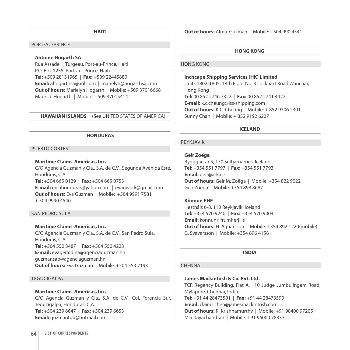#### **HAITI**

#### Port-au-Prince

#### **Antoine Hogarth SA**

Rua Assade 1, Turgeau, Port-au-Prince, Haiti P.O. Box 1255, Port-au- Prince, Haiti **Tel:** +509 28131965 | **Fax:** +509 22445880 **Email:** ahogarthsa@aol.com | marielyn@hogarthsa.com **Out of hours:** Marielyn Hogarth | Mobile: +509 37016668 Maurice Hogarth | Mobile: +509 37015414

**HAWAIIAN ISLANDS** (See UNITED STATES OF AMERICA)

#### **HONDURAS**

#### PUERTO CORTES

#### **Maritime Claims-Americas, Inc.**

C/O Agencia Guzman y Cia., S.A. de C.V., Segunda Avenida Este, Honduras, C.A. **Tel:** +504 665 0129 | **Fax:** +504 665 0753 **E-mail:** mcahonduras@yahoo.com | evagwork@gmail.com **Out of hours:** Eva Guzman | Mobile: +504 9991 7581

 $+ 5049904540$ 

#### San Pedro Sula

#### **Maritime Claims-Americas, Inc.**

c/o Agencia Guzman y Cia., S.A. de C.V., San Pedro Sula, Honduras, C.A. **Tel:** +504 550 3487 | **Fax:** +504 550 4223 **E-mail:** evageraldina@agenciaguzman.hn guzmansap@agenciaguzman.hn **Out of hours:** Eva Guzman | Mobile: +504 553 7193

#### **TEGUCIGALPA**

# **Maritime Claims-Americas, Inc.**

c/o Agencia Guzman y Cia., S.A. de C.V., Col. Forencia Sur, Tegucigalpa, Honduras, C.A. **Tel:** +504 239 6647 | **Fax:** +504 239 6653 **Email:** guzmantgu@hotmail.com

**Out of hours:** Alma. Guzman | Mobile: +504 990 4541

#### **HONG KONG**

#### Hong Kong

#### **Inchcape Shipping Services (HK) Limited**

Units 1802-1805, 18th Floor No. 3 Lockhart Road Wanchai, Hong Kong **Tel:** 00 852 2746 7322 | **Fax:** 00 852 2741 4422 **E-mail:** k.c.cheung@iss-shipping.com **Out of hours:** K.C. Cheung | Mobile: + 852 9306 2301 Sunny Chan | Mobile: + 852 9192 6227

#### **ICELAND**

#### Reykjavik

#### **Geir Zoëga**

Bygggar\_ar 5, 170 Seltjarnarnes, Iceland **Tel:** +354 551 7797 | **Fax:** +354 551 7793 **Email:** geir@arka.is **Out of hours:** Geir M. Zoëga | Mobile: +354 822 9022 Geir Zoëga | Mobile: +354 898 8687

# **Könnun EHF**

Hestháls 6-8, 110 Reykjavik, Iceland **Tel:** +354 570 9240 | **Fax:** +354 570 9004 **Email:** konnun@frumherji.is **Out of hours:** H. Agnarsson | Mobile: +354 892 1220(mobile) G. Svavarsson | Mobile: +354 896 4158

#### **INDIA**

#### **CHENNAI**

## **James Mackintosh & Co. Pvt. Ltd.**

TCR Regency Building, Flat A, , 10 Judge Jumbulingam Road, Mylapore, Chennai, India **Tel:** +91 44 28473591 | **Fax:** +91 44 28473590 **Email:** claims.chen@jamesmackintosh.com **Out of hours:** R. Krishnamurthy | Mobile: +91 98400 97205 M.S. Jayachandran | Mobile: +91 96000 78333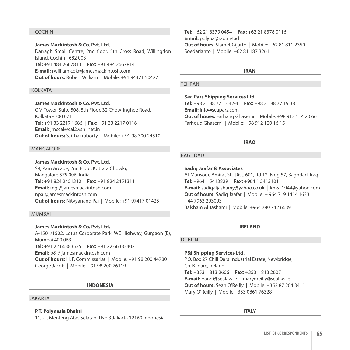#### **COCHIN**

**James Mackintosh & Co. Pvt. Ltd.**  Darragh Smail Centre, 2nd floor, 5th Cross Road, Willingdon Island, Cochin - 682 003 **Tel:** +91 484 2667813 | **Fax:** +91 484 2667814 **E-mail:** rwilliam.cok@jamesmackintosh.com **Out of hours:** Robert William | Mobile: +91 94471 50427

# **KOLKATA**

**James Mackintosh & Co. Pvt. Ltd.**  OM Tower, Suite 508, 5th Floor, 32 Chowringhee Road, Kolkata - 700 071 **Tel:** +91 33 2217 1686 | **Fax:** +91 33 2217 0116 **Email:** jmccal@cal2.vsnl.net.in **Out of hours:** S. Chakraborty | Mobile: + 91 98 300 24510

#### Mangalore

**James Mackintosh & Co. Pvt. Ltd.**  S9, Pam Arcade, 2nd Floor, Kottara Chowki, Mangalore 575 006, India **Tel:** +91 824 2451312 | **Fax:** +91 824 2451311 **Email:** mgl@jamesmackintosh.com npai@jamesmackintosh.com **Out of hours:** Nityyanand Pai | Mobile: +91 97417 01425

# **MUMBAI**

# **James Mackintosh & Co. Pvt. Ltd.**

A-1501/1502, Lotus Corporate Park, WE Highway, Gurgaon (E), Mumbai 400 063 **Tel:** +91 22 66383535 | **Fax:** +91 22 66383402 **Email:** p&i@jamesmackintosh.com **Out of hours:** H. F. Commissariat | Mobile: +91 98 200 44780 George Jacob | Mobile: +91 98 200 76119

#### **INDONESIA**

#### Jakarta

#### **P.T. Polynesia Bhakti**

11, JL. Menteng Atas Selatan II No 3 Jakarta 12160 Indonesia

**Tel:** +62 21 8379 0454 | **Fax:** +62 21 8378 0116 **Email:** polyba@rad.net.id **Out of hours:** Slamet Gijarto | Mobile: +62 81 811 2350 Soedarjanto | Mobile: +62 81 187 3261

#### **IRAN**

#### **TEHRAN**

**Sea Pars Shipping Services Ltd.**

**Tel:** +98 21 88 77 13 42-4 | **Fax:** +98 21 88 77 19 38 **Email:** info@seapars.com **Out of houes:** Farhang Ghasemi | Mobile: +98 912 114 20 66 Farhoud Ghasemi | Mobile: +98 912 120 16 15

#### **IRAQ**

#### **BAGHDAD**

#### **Sadiq Jaafar & Associates**

Al-Mansour, Amirat St., Dist. 601, Rd 12, Bldg 57, Baghdad, Iraq **Tel:** +964 1 5413829 | **Fax:** +964 1 5413101 **E-mail:** sadiqaljashamy@yahoo.co.uk | kms\_1944@yahoo.com **Out of hours:** Sadiq Jaafar | Mobile: + 964 719 1414 1633 +44 7963 293003 Balsham Al Jashami | Mobile: +964 780 742 6639

# **IRELAND**

#### Dublin

#### **P&I Shipping Services Ltd.**

P.O. Box 27 Chill Dara Industrial Estate, Newbridge, Co. Kildare, Ireland **Tel:** +353 1 813 2606 | **Fax:** +353 1 813 2607 **E-mail:** pandi@sealaw.ie | maryoreilly@sealaw.ie **Out of hours:** Sean O'Reilly | Mobile: +353 87 204 3411 Mary O'Reilly | Mobile +353 0861 76328

**ITALY**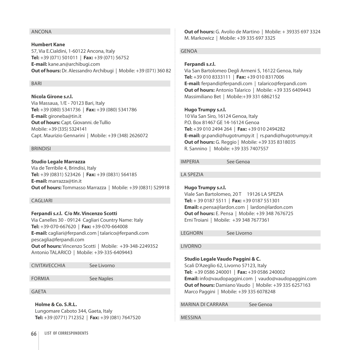# Ancona

**Humbert Kane**  57, Via E.Cialdini, 1-60122 Ancona, Italy **Tel:** +39 (071) 501011 | **Fax:** +39 (071) 56752 **E-mail:** kane.an@archibugi.com **Out of hours:** Dr. Alessandro Archibugi | Mobile: +39 (071) 360 82

#### **BARI**

**Nicola Girone s.r.l.**  Via Massaua, 1/E - 70123 Bari, Italy **Tel:** +39 (080) 5341736 | **Fax:** +39 (080) 5341786 **E-mail:** gironeba@tin.it **Out of hours:** Capt. Giovanni. de Tullio Mobile: +39 (335) 5324141 Capt. Maurizio Gennarini | Mobile: +39 (348) 2626072

#### **BRINDISI**

**Studio Legale Marrazza**  Via de Terribile 4, Brindisi, Italy **Tel:** +39 (0831) 523426 | **Fax:** +39 (0831) 564185 **E-mail:** marrazza@tin.it **Out of hours:** Tommasso Marrazza | Mobile: +39 (0831) 529918

#### Cagliari

**Ferpandi s.r.l. C/o Mr. Vincenzo Scotti**

Via Canelles 30 - 09124 Cagliari Country Name: Italy **Tel:** +39-070-667620 | **Fax:** +39-070-664008 **E-mail:** cagliari@ferpandi.com | talarico@ferpandi.com pescaglia@ferpandi.com **Out of hours:** Vincenzo Scotti | Mobile: +39-348-2249352 Antonio TALARICO | Mobile: +39-335-6409443

Civitavecchia See Livorno

FORMIA See Naples

**GAETA** 

**Holme & Co. s.r.l.**

Lungomare Caboto 344, Gaeta, Italy **Tel:** +39 (0771) 712352 | **Fax:** +39 (081) 7647520 **Out of hours:** G. Avolio de Martino | Mobile: + 39335 697 3324 M. Markowicz | Mobile: +39 335 697 3325

#### **GENOA**

#### **Ferpandi s.r.l.**

Via San Bartolomeo Degli Armeni 5, 16122 Genoa, Italy **Tel:** +39 010 8333111 | **Fax:** +39 010 8317006 **E-mail:** ferpandi@ferpandi.com | talarico@ferpandi.com **Out of hours:** Antonio Talarico | Mobile: +39 335 6409443 Massimiliano Bet | Mobile:+39 331 6862152

#### **Hugo Trumpy s.r.l.**

10 Via San Siro, 16124 Genoa, Italy P.O. Box 81467 GE 14-16124 Genoa **Tel:** +39 010 2494 264 | **Fax:** +39 010 2494282 **E-mail:** gr.pandi@hugotrumpy.it | rs.pandi@hugotrumpy.it **Out of hours:** G. Reggio | Mobile: +39 335 8318035 R. Sannino | Mobile: +39 335 7407557

Imperia See Genoa

La Spezia

#### **Hugo Trumpy s.r.l.**

Viale San Bartolomeo, 20 T 19126 LA SPEZIA **Tel:** + 39 0187 5511 | **Fax:** +39 0187 551301 **Email:** e.pensa@lardon.com | lardon@lardon.com **Out of hours:** E. Pensa | Mobile: +39 348 7676725 Erni Troiani | Mobile: +39 348 7677361

Leghorn See Livorno

Livorno

**Studio Legale Vaudo Paggini & C.**

Scali D'Azeglio 62, Livorno 57123, Italy **Tel:** +39 0586 240001 | **Fax:** +39 0586 240002 **Email:** info@vaudopaggini.com | vaudo@vaudopaggini.com **Out of hours:** Damiano Vaudo | Mobile: +39 335 6257163 Marco Paggini | Mobile: +39 335 6078248

MARINA DI CARRARA See Genoa

**MESSINA**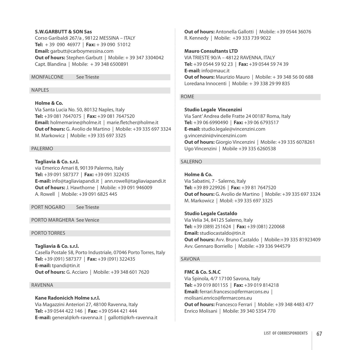#### **S.W.GARBUTT & SON Sas**

Corso Garibaldi 267/a , 98122 MESSINA – ITALY **Tel:** + 39 090 46977 | **Fax:** + 39 090 51012 **Email:** garbutt@carboymessina.com **Out of hours:** Stephen Garbutt | Mobile: + 39 347 3304042 Capt. Blandina | Mobile: + 39 348 6500891

Monfalcone See Trieste

# NAPI<sub>FS</sub>

# **Holme & Co.**

Via Santa Lucia No. 50, 80132 Naples, Italy **Tel:** +39 081 7647075 | **Fax:** +39 081 7647520 **Email:** holmemarine@holme.it | marie.fletcher@holme.it **Out of hours:** G. Avolio de Martino | Mobile: +39 335 697 3324 M. Markowicz | Mobile: +39 335 697 3325

# PAI FRMO

**Tagliavia & Co. s.r.l.**  via Emerico Amari 8, 90139 Palermo, Italy **Tel:** +39 091 587377 | **Fax:** +39 091 322435 **E-mail:** info@tagliaviapandi.it | ann.rowell@tagliaviapandi.it **Out of hours:** J. Hawthorne | Mobile: +39 091 946009 A. Rowell | Mobile: +39 091 6825 445

PORT NOGARO See Trieste

# Porto Marghera See Venice

# Porto Torres

**Tagliavia & Co. s.r.l.**  Casella Postale 58, Porto Industriale, 07046 Porto Torres, Italy **Tel:** +39 (091) 587377 | **Fax:** +39 (091) 322435 **E-mail:** tpandi@tin.it **Out of hours:** G. Acciaro | Mobile: +39 348 601 7620

#### **RAVENNA**

# **Kane Radonicich Holme s.r.l.**

Via Magazzini Anteriori 27, 48100 Ravenna, Italy **Tel:** +39 0544 422 146 | **Fax:** +39 0544 421 444 **E-mail:** general@krh-ravenna.it | gallotti@krh-ravenna.it **Out of hours:** Antonella Gallotti | Mobile: +39 0544 36076 R. Kennedy | Mobile: +39 333 739 9022

# **Mauro Consultants LTD**

VIA TRIESTE 90/A – 48122 RAVENNA, ITALY **Tel:** +39 0544 59 92 23 | **Fax:** +39 0544 59 74 39 **E-mail:** info@mauc.it **Out of hours:** Maurizio Mauro | Mobile: + 39 348 56 00 688 Loredana Innocenti | Mobile: + 39 338 29 99 835

#### **ROME**

**Studio Legale Vincenzini** 

Via Sant' Andrea delle Fratte 24 00187 Roma, Italy **Tel:** +39 06 6990490 | **Fax:** +39 06 6793517 **E-mail:** studio.legale@vincenzini.com g.vincenzini@vincenzini.com **Out of hours:** Giorgio Vincenzini |Mobile: +39 335 6078261 Ugo Vincenzini | Mobile +39 335 6260538

# SAI FRNO

**Holme & Co.**

Via Sabatini, 7 - Salerno, Italy **Tel:** +39 89 229926 | **Fax:** +39 81 7647520 **Out of hours:** G. Avolio de Martino | Mobile: +39 335 697 3324 M. Markowicz | Mobil: +39 335 697 3325

#### **Studio Legale Castaldo**

Via Velia 34, 84125 Salerno, Italy **Tel:** +39 (089) 251624 | **Fax:** +39 (081) 220068 **Email:** studiocastaldo@tin.it **Out of hours:** Avv. Bruno Castaldo | Mobile:+39 335 81923409 Avv. Gennaro Borriello | Mobile: +39 336 944579

# Savona

**FMC & Co. S.N.C**  Via Spinola, 4/7 17100 Savona, Italy **Tel:** +39 019 801155 | **Fax:** +39 019 814218 **Email:** ferrari.francesco@fermarcons.eu | molisani.enrico@fermarcons.eu **Out of hours:** Francesco Ferrari | Mobile: +39 348 4483 477 Enrico Molisani | Mobile: 39 340 5354 770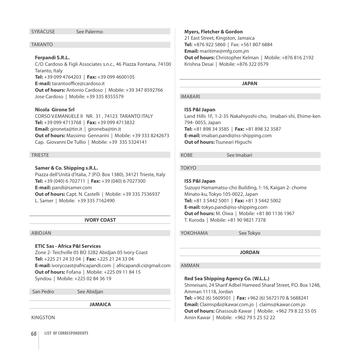#### SyracuseSee Palermo

#### **TARANTO**

# Ferpandi S.R.L.

c/o Cardoso & Figli Associates s.n.c., 46 Piazza Fontana, 74100 Taranto, Italy **Tel:** +39 099 4764203 | **Fax:** +39 099 4600105 **E-mail:** tarantooffice@cardoso.it **Out of hours:** Antonio Cardoso | Mobile: +39 347 8592766 Jose Cardoso | Mobile: +39 335 8355579

#### **Nicola Girone Srl**

CORSO V.EMANUELE II NR. 31 , 74123 TARANTO ITALY **Tel:** +39 099 4713768 | **Fax:** +39 099 4713832 **Email:** gironeta@tin.it | gironeba@tin.it **Out of hours:** Massimo Gennarini | Mobile: +39 333 8242673 Cap. Giovanni De Tullio | Mobile: +39 335 5324141

#### **TRIESTE**

#### **Samer & Co. Shipping s.R.L.**

Piazza dell'Unità d'Italia, 7 (P.O. Box 1380), 34121 Trieste, Italy **Tel:** +39 (040) 6 702711 | **Fax:** +39 (040) 6 7027300 **E-mail:** pandi@samer.com **Out of hours:** Capt. N. Castelli | Mobile: +39 335 7536937 L. Samer | Mobile: +39 335 7162490

#### **IVORY COAST**

#### Abidjan

# **ETIC Sas - Africa P&I Services**

Zone 2- Teichville 05 BO 3282 Abidjan 05 Ivory Coast **Tel:** +225 21 24 33 04 | **Fax:** +225 21 24 33 04 **E-mail:** ivorycoast@africapandi.com | africapandi.ci@gmail.com **Out of hours:** Fofana | Mobile: +225 09 11 84 15 Syndou | Mobile: +225 02 84 36 19

San Pedro See Abidjan

**JAMAICA**

Kingston

# **Myers, Fletcher & Gordon**

21 East Street, Kingston, Jamaica **Tel:** +876 922 5860 | Fax: +561 807 6884 **Email:** maritime@mfg.com.jm **Out of hours:** Christopher Kelman | Mobile: +876 816 2192 Krishna Desai | Mobile: +876 322 0579

#### **JAPAN**

#### **IMARARI**

# **ISS P&I Japan**

Land Hills 1F, 1-2-35 Nakahiyoshi-cho, Imabari-shi, Ehime-ken 794- 0055, Japan **Tel:** +81 898 34 3585 | **Fax:** +81 898 32 3587 **E-mail:** imabari.pandi@iss-shipping.com **Out of hours:** Tsuneari Higuchi

KOBE See Imabari

#### Tokyo

# **ISS P&I Japan**

Suzuyo Hamamatsu-cho Building, 1-16, Kaigan 2- chome Minato-ku, Tokyo 105-0022, Japan **Tel:** +81 3 5442 5001 | **Fax:** +81 3 5442 5002 **E-mail:** tokyo.pandi@iss-shipping.com **Out of hours:** M. Oiwa | Mobile: +81 80 1136 1967 T. Kuroda | Mobile: +81 90 9821 7378

YokohamaSee Tokyo

**JORDAN**

#### Amman

# **Red Sea Shipping Agency Co. (W.L.L.)**

Shmeisani, 24 Sharif Adbel Hameed Sharaf Street, P.O. Box 1248, Amman 11118, Jordan **Tel:** +962 (6) 5609501 | **Fax:** +962 (6) 5672170 & 5688241 **Email:** Claimsp&i@kawar.com.jo | claims@kawar.com.jo **Out of hours:** Ghassoub Kawar | Mobile: +962 79 8 22 55 05 Amin Kawar | Mobile: +962 79 5 25 52 22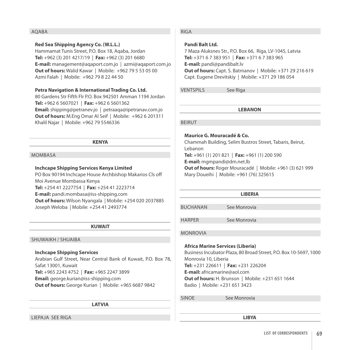# AQABA

# **Red Sea Shipping Agency Co. (W.L.L.)**

Hammamat Tunis Street, P.O. Box 18, Aqaba, Jordan **Tel:** +962 (3) 201 4217/19 | **Fax:** +962 (3) 201 6680 **E-mail:** management@aqaport.com.jo | azmi@aqaport.com.jo **Out of hours:** Walid Kawar | Mobile: +962 79 5 53 05 00 Azmi Falah | Mobile: +962 79 8 22 44 50

# **Petra Navigation & International Trading Co. Ltd.**

80 Gardens Str Fifth Flr P.O. Box 942501 Amman 1194 Jordan **Tel:** +962 6 5607021 | **Fax:** +962 6 5601362 **Email:** shipping@petranev.jo | petraaqa@ipetranav.com.jo **Out of hours:** M.Eng Omar Al Seif | Mobile: +962 6 201311 Khalil Najar | Mobile: +962 79 5546336

#### **KENYA**

### **MOMBASA**

# **Inchcape Shipping Services Kenya Limited**

PO Box 90194 Inchcape House Archbishop Makarios Cls off Moi Avenue Mombassa Kenya **Tel:** +254 41 2227754 | **Fax:** +254 41 2223714 **E-mail:** pandi.mombasa@iss-shipping.com **Out of hours:** Wilson Nyangala | Mobile: +254 020 2037885 Joseph Weloba | Mobile: +254 41 2493774

# **KUWAIT**

#### Shuwaikh / Shuaiba

# **Inchcape Shipping Services**

Arabian Gulf Street, Near Central Bank of Kuwait, P.O. Box 78, Safat 13001, Kuwait **Tel:** +965 2243 4752 | **Fax:** +965 2247 3899 **Email:** george.kurian@iss-shipping.com **Out of hours:** George Kurian | Mobile: +965 6687 9842

#### **LATVIA**

Liepaja See Riga

# **RIGA**

# **Pandi Balt Ltd.**

7 Maza Aluksnes Str., P.O. Box 66, Riga, LV-1045, Latvia **Tel:** +371 6 7 383 951 | **Fax:** +371 6 7 383 965 **E-mail:** pandi@pandibalt.lv **Out of hours:** Capt. S. Batmanov | Mobile: +371 29 216 619 Capt. Eugene Drevitskiy | Mobile: +371 29 186 054

VENTSPILS See Riga

**LEBANON**

**BEIRUT** 

# **Maurice G. Mouracadé & Co.**

Chammah Building, Selim Bustros Street, Tabaris, Beirut, Lebanon **Tel:** +961 (1) 201 821 | **Fax:** +961 (1) 200 590 **E-mail:** mgmpandi@dm.net.lb **Out of hours:** Roger Mouracadé | Mobile: +961 (3) 621 999 Mary Doueihi | Mobile: +961 (76) 325615

| <b>LIBERIA</b>  |              |  |  |
|-----------------|--------------|--|--|
|                 |              |  |  |
| <b>BUCHANAN</b> | See Monrovia |  |  |
|                 |              |  |  |
| <b>HARPER</b>   | See Monrovia |  |  |
|                 |              |  |  |
| <b>MONROVIA</b> |              |  |  |

**Africa Marine Services (Liberia)** Business Incubator Plaza, 80 Broad Street, P.O. Box 10-5697, 1000 Monrovia 10, Liberia **Tel:** +231 226611 | **Fax:** +231 226204 **E-mail:** africamarine@aol.com **Out of hours:** H. Brunson | Mobile: +231 651 1644 Badio | Mobile: +231 651 3423

SINOE See Monrovia

**LIBYA**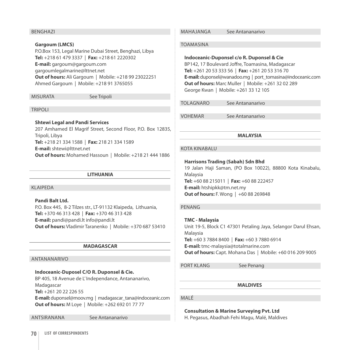#### Benghazi

#### **Gargoum (LMCS)**

P.O.Box 153, Legal Marine Dubai Street, Benghazi, Libya **Tel:** +218 61 479 3337 | **Fax:** +218 61 2220302 **E-mail:** gargoum@gargoum.com gargoumlegalmarine@lttnet.net **Out of hours:** Ali Gargoum | Mobile: +218 99 23022251 Ahmed Gargoum | Mobile: +218 91 3765055

MISURATA See Tripoli

#### **TRIPOLI**

**Shtewi Legal and Pandi Services**

207 Amhamed El Magrif Street, Second Floor, P.O. Box 12835, Tripoli, Libya **Tel:** +218 21 334 1588 | **Fax:** 218 21 334 1589 **E-mail:** shtewi@lttnet.net **Out of hours:** Mohamed Hassoun | Mobile: +218 21 444 1886

# **LITHUANIA**

#### Klaipeda

**Pandi Balt Ltd.**  P.O. Box 445, 8-2 Tilzes str., LT-91132 Klaipeda, Lithuania, **Tel:** +370 46 313 428 | **Fax:** +370 46 313 428 **E-mail:** pandi@pandi.lt info@pandi.lt **Out of hours:** Vladimir Taranenko | Mobile: +370 687 53410

#### **MADAGASCAR**

#### Antananarivo

# **Indoceanic-Duposel c/o R. Duponsel & Cie.**

BP 405, 18 Avenue de L' Independance, Antananarivo, Madagascar

**Tel:** +261 20 22 226 55

**E-mail:** duponsel@moov.mg | madagascar\_tana@indoceanic.com **Out of hours:** M Loye | Mobile: +262 692 01 77 77

ANTSIRANANA See Antananarivo

#### MAHAJANGA See Antananarivo

#### Toamasina

#### **Indoceanic-Duponsel c/o R. Duponsel & Cie**

BP142, 17 Boulevard Joffre, Toamasina, Madagascar **Tel:** +261 20 53 333 56 | **Fax:** +261 20 53 316 70 **E-mail:** duponsel@wanadoo.mg | port\_tomasina@indoceanic.com **Out of hours:** Marc Muller | Mobile: +261 32 02 289 George Kwan | Mobile: +261 33 12 105

TOI AGNARO See Antananarivo

VOHEMAR See Antananarivo

#### **MALAYSIA**

# KOTA KINABALU

#### **Harrisons Trading (Sabah) Sdn Bhd**

19 Jalan Haji Saman, (PO Box 10022), 88800 Kota Kinabalu, Malaysia **Tel:** +60 88 215011 | **Fax:** +60 88 222457

**E-mail:** htshipkk@tm.net.my **Out of hours: F. Wong | +60 88 269848** 

#### Penang

**TMC - Malaysia**  Unit 19-5, Block C1 47301 Petaling Jaya, Selangor Darul Ehsan, Malaysia **Tel:** +60 3 7884 8400 | **Fax:** +60 3 7880 6914 **E-mail:** tmc-malaysia@totalmarine.com **Out of hours:** Capt. Mohana Das | Mobile: +60 016 209 9005

PORT KLANG See Penang

**MALDIVES**

#### Malé

**Consultation & Marine Surveying Pvt. Ltd**

H. Pegasus, Abadhah Fehi Magu, Malé, Maldives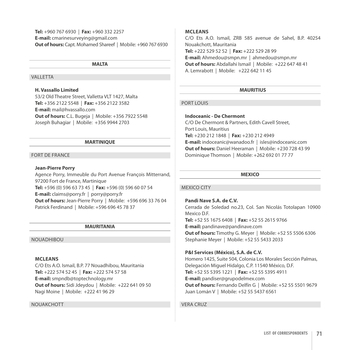**Tel:** +960 767 6930 | **Fax:** +960 332 2257 **E-mail:** cmarinesurveying@gmail.com **Out of hours:** Capt. Mohamed Shareef | Mobile: +960 767 6930

#### **MALTA**

# **VALLETTA**

# **H. Vassallo Limited**

53/2 Old Theatre Street, Valletta VLT 1427, Malta **Tel:** +356 2122 5548 | **Fax:** +356 2122 3582 **E-mail:** mail@hvassallo.com **Out of hours:** C.L. Bugeja | Mobile: +356 7922 5548 Joseph Buhagiar | Mobile: +356 9944 2703

#### **MARTINIQUE**

### Fort de France

#### **Jean-Pierre Porry**

Agence Porry, Immeuble du Port Avenue François Mitterrand, 97200 Fort de France, Martinique **Tel:** +596 (0) 596 63 73 45 | **Fax:** +596 (0) 596 60 07 54 **E-mail:** claims@porry.fr | porry@porry.fr

**Out of hours:** Jean-Pierre Porry | Mobile: +596 696 33 76 04

Patrick Ferdinand | Mobile: +596 696 45 78 37

#### **MAURITANIA**

#### **NOUADHIBOU**

#### **McLeans**

c/o Ets A.O. Ismail, B.P. 77 Nouadhibou, Mauritania **Tel:** +222 574 52 45 | **Fax:** +222 574 57 58 **E-mail:** smpndb@toptechnology.mr **Out of hours:** Sidi Jdeydou | Mobile: +222 641 09 50 Nagi Moine | Mobile: +222 41 96 29

#### **NOUAKCHOTT**

#### **McLeans**

c/o Ets A.O. Ismail, ZRB 585 avenue de Sahel, B.P. 40254 Nouakchott, Mauritania **Tel:** +222 529 52 52 | **Fax:** +222 529 28 99 **E-mail:** Ahmedou@smpn.mr | ahmedou@smpn.mr **Out of hours:** Abdallahi Ismail | Mobile: +222 647 48 41 A. Lemrabott | Mobile: +222 642 11 45

# **MAURITIUS**

# **PORT LOUIS**

# **Indoceanic - De Chermont**

c/o De Chermont & Partners, Edith Cavell Street, Port Louis, Mauritius **Tel:** +230 212 1848 | **Fax:** +230 212 4949 **E-mail:** indoceanic@wanadoo.fr | isles@indoceanic.com **Out of hours:** Daniel Heeraman | Mobile: +230 728 43 99 Dominique Thomson | Mobile: +262 692 01 77 77

#### **MEXICO**

#### MEXICO CITY

**Pandi Nave S.A. de C.V.**  Cerrada de Soledad no.23, Col. San Nicolás Totolapan 10900 Mexico D.F. **Tel:** +52 55 1675 6408 | **Fax:** +52 55 2615 9766 **E-mail:** pandinave@pandinave.com **Out of hours:** Timothy G. Meyer | Mobile: +52 55 5506 6306 Stephanie Meyer | Mobile: +52 55 5433 2033

#### **P&I Services (México), S.A. de C.V.**

Homero 1425, Suite 504, Colonia Los Morales Sección Palmas, Delegación Miguel Hidalgo, C.P. 11540 México, D.F. **Tel:** +52 55 5395 1221 | **Fax:** +52 55 5395 4911 **E-mail:** pandiser@grupodelmex.com **Out of hours:** Fernando Delfín G | Mobile: +52 55 5501 9679 Juan Lomán V | Mobile: +52 55 5437 6561

## Vera Cruz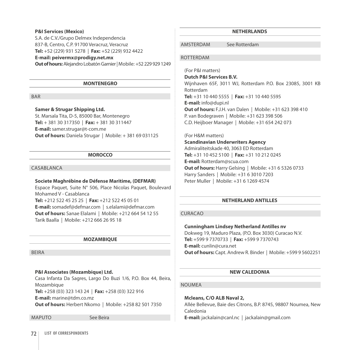#### **P&I Services (Mexico)**

S.A. de C.V./Grupo Delmex Independencia 837-B, Centro, C.P. 91700 Veracruz, Veracruz **Tel:** +52 (229) 931 5278 | **Fax:** +52 (229) 932 4422

#### **E-mail: peivermx@prodigy.net.mx**

**Out of hours:** Alejandro Lobatón Garnier | Mobile: +52 229 929 1249

#### **MONTENEGRO**

**BAR** 

# **Samer & Strugar Shipping Ltd.**

St. Marsala Tita, D-5, 85000 Bar, Montenegro **Tel:** + 381 30 317350 | **Fax:** + 381 30 311447 **E-mail:** samer.strugar@t-com.me **Out of hours:** Daniela Strugar | Mobile: + 381 69 031125

#### **MOROCCO**

# CASABI ANCA

#### **Societe Maghrébine de Défense Maritime, (DEFMAR)**

Espace Paquet, Suite N° 506, Place Nicolas Paquet, Boulevard Mohamed V - Casablanca **Tel:** +212 522 45 25 25 | **Fax:** +212 522 45 05 01 **E-mail:** somadef@defmar.com | s.elalami@defmar.com **Out of hours:** Sanae Elalami | Mobile: +212 664 54 12 55 Tarik Baalla | Mobile: +212 666 26 95 18

#### **MOZAMBIQUE**

#### Beira

# **P&I Associates (Mozambique) Ltd.**

Casa Infanta Da Sagres, Largo Do Buzi 1/6, P.O. Box 44, Beira, Mozambique

**Tel:** +258 (03) 323 143 24 | **Fax:** +258 (03) 322 916

**E-mail:** marine@tdm.co.mz

**Out of hours:** Herbert Nkomo | Mobile: +258 82 501 7350

Maputo See Beira

# **NETHERLANDS**

Amsterdam See Rotterdam

#### **ROTTERDAM**

(For P&I matters)

**Dutch P&I Services B.V.** 

Wijnhaven 65F, 3011 WJ, Rotterdam P.O. Box 23085, 3001 KB Rotterdam **Tel:** +31 10 440 5555 | **Fax:** +31 10 440 5595 **E-mail:** info@dupi.nl **Out of hours:** F.J.H. van Dalen | Mobile: +31 623 398 410 P. van Bodegraven | Mobile: +31 623 398 506

C.D. Heijboer Manager | Mobile: +31 654 242 073

#### (For H&M matters)

**Scandinavian Underwriters Agency**  Admiraliteitskade 40, 3063 ED Rotterdam **Tel:** +31 10 452 5100 | **Fax:** +31 10 212 0245 **E-mail:** Rotterdam@scua.com **Out of hours:** Harry Gelsing | Mobile: +31 6 5326 0733 Harry Sanders | Mobile: +31 6 3010 7203 Peter Muller | Mobile: +31 6 1269 4574

# **NETHERLAND ANTILLES**

# Curacao

#### **Cunningham Lindsey Netherland Antilles nv**

Dokweg 19, Maduro Plaza, (P.O. Box 3030) Curacao N.V. **Tel:** +599 9 7370733 | **Fax:** +599 9 7370743 **E-mail:** cunlin@cura.net **Out of hours:** Capt. Andrew R. Binder | Mobile: +599 9 5602251

# **NEW CALEDONIA**

#### **NOUMEA**

**Mcleans, c/o ALB Naval 2,**  Allée Bellevue, Baie des Citrons, B.P. 8745, 98807 Noumea, New Caledonia

**E-mail:** jackalain@canl.nc | jackalain@gmail.com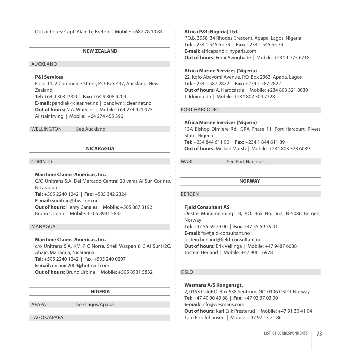Out of hours: Capt. Alain Le Breton | Mobile: +687 78 10 84

# **NEW ZEALAND**

#### Auckland

# **P&I Services**

Floor 11, 2 Commerce Street, P.O. Box 437, Auckland, New Zealand **Tel:** +64 9 303 1900 | **Fax:** +64 9 308 9204 **E-mail:** pandiak@clear.net.nz | pandiwn@clear.net.nz **Out of hours:** N.A. Wheeler | Mobile: +64 274 921 975 Alistair Irving | Mobile: +64 274 455 396

WELLINGTON See Auckland

# **NICARAGUA**

#### **CORINTO**

#### **Maritime Claims-Americas, Inc.**

c/o Unitrans S.A. Del Mercado Central 20 varas Al Sur, Corinto, Nicaragua **Tel:** +505 2240 1242 | **Fax:** +505 342 2324 **E-mail:** sunitran@ibw.com.ni **Out of hours:** Henry Canales | Mobile: +505 887 3192 Bruno Urbino | Mobile: +505 8931 5832

#### Managua

# **Maritime Claims-Americas, Inc.**

c/o Unitrans S.A. KM 7 C Norte, Shell Waspan 8 C.Al Sur1/2C. Abajo, Managua, Nicaragua **Tel:** +505 2240 1242 | Fax: +505 240 0207 **E-mail:** mcanic2009@hotmail.com **Out of hours:** Bruno Urbina | Mobile: +505 8931 5832

# **NIGERIA**

APAPA See Lagos/Apapa

Lagos/Apapa

**Africa P&I (Nigeria) Ltd.**

P.O.B. 3958, 34 Rhodes Crescent, Apapa, Lagos, Nigeria **Tel:** +234 1 545 55 79 | **Fax:** +234 1 545 55 79 **E-mail:** africapandi@hyperia.com **Out of hours: Femi Awogbade | Mobile: +234 1 775 6718** 

# **Africa Marine Services (Nigeria)**

22, Kofo Abayomi Avenue, P.O. Box 2363, Apapa, Lagos **Tel:** +234 1 587 2822 | **Fax:** +234 1 587 2822 **Out of hours:** A. Hardcastle | Mobile: +234 803 321 8030 T. Iduimuida | Mobile: +234 802 304 7328

# Port Harcourt

# **Africa Marine Services (Nigeria)**

13A Bishop Dimiere Rd., GRA Phase 11, Port Harcourt, Rivers State, Nigeria **Tel:** +234 844 611 90 | **Fax:** +234 1 844 611 89 **Out of hours:** Mr. Iain Marsh | Mobile: +234 803 323 6039

WARI See Port Harcourt

**NORWAY**

# Bergen

**Fjeld Consultant AS** Oestre Muralmenning 1B, P.O. Box No. 567, N-5086 Bergen, Norway **Tel:** +47 55 59 79 00 | **Fax:** +47 55 59 79 01 **E-mail:** fc@fjeld-consultant.no jostein.herland@fjeld-consultant.no **Out of hours:** Erik Vellinga | Mobile: +47 9487 6088 Jostein Herland | Mobile: +47 9061 6978

# Oslo

# **Wesmans A/S Kongensgt.**

2, 0153 OsloP.O. Box 638 Sentrum, NO-0106 OSLO, Norway **Tel:** +47 40 00 43 88 | **Fax:** +47 93 37 03 00 **E-mail:** info@wesmans.com **Out of hours:** Karl Erik Presterud | Mobile: +47 91 30 41 04 Tom Erik Johansen | Mobile: +47 97 13 21 86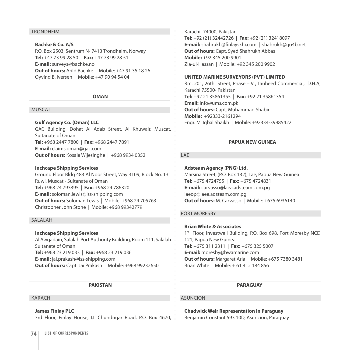# **TRONDHFIM**

# **Bachke & Co. A/S**

P.O. Box 2503, Sentrum N- 7413 Trondheim, Norway **Tel:** +47 73 99 28 50 | **Fax:** +47 73 99 28 51 **E-mail:** surveys@bachke.no **Out of hours:** Arild Bachke | Mobile: +47 91 35 18 26 Oyvind B. Iversen | Mobile: +47 90 94 54 04

#### **OMAN**

#### **MUSCAT**

# **Gulf Agency Co. (Oman) LLC**

GAC Building, Dohat Al Adab Street, Al Khuwair, Muscat, Sultanate of Oman **Tel:** +968 2447 7800 | **Fax:** +968 2447 7891 **E-mail:** claims.oman@gac.com **Out of hours:** Kosala Wijesinghe | +968 9934 0352

#### **Inchcape Shipping Services**

Ground Floor Bldg 483 Al Noor Street, Way 3109, Block No. 131 Ruwi, Muscat - Sultanate of Oman **Tel:** +968 24 793395 | **Fax:** +968 24 786320 **E-mail:** soloman.lewis@iss-shipping.com **Out of hours:** Soloman Lewis | Mobile: +968 24 705763 Christopher John Stone | Mobile: +968 99342779

#### **SALALAH**

# **Inchcape Shipping Services**  Al Awqadain, Salalah Port Authority Building, Room 111, Salalah Sultanate of Oman **Tel:** +968 23 219 033 | **Fax:** +968 23 219 036 **E-mail:** jai.prakash@iss-shipping.com **Out of hours:** Capt. Jai Prakash | Mobile: +968 99232650

# **PAKISTAN**

#### **KARACHI**

# **James Finlay PLC**

3rd Floor, Finlay House, I.I. Chundrigar Road, P.O. Box 4670,

Karachi- 74000, Pakistan **Tel:** +92 (21) 32442726 | **Fax:** +92 (21) 32418097 **E-mail:** shahrukh@finlayskhi.com | shahrukh@go4b.net **Out of hours:** Capt. Syed Shahrukh Abbas **Mobile:** +92 345 200 9901 Zia-ul-Hassan | Mobile: +92 345 200 9902

#### **UNITED MARINE SURVEYORS (PVT) LIMITED**

Rm. 201, 26th Street, Phase – V , Tauheed Commercial, D.H.A, Karachi 75500- Pakistan **Tel:** +92 21 35861355 | **Fax:** +92 21 35861354 **Email:** info@ums.com.pk **Out of hours:** Capt. Muhammad Shabir **Mobile:** +92333-2161294 Engr. M. Iqbal Shaikh | Mobile: +92334-39985422

# **PAPUA NEW GUINEA**

# LAF

**Adsteam Agency (PNG) Ltd.** Marsina Street, (P.O. Box 132), Lae, Papua New Guinea **Tel:** +675 4724755 | **Fax:** +675 4724831 **E-mail:** carvasso@laea.adsteam.com.pg laeop@laea.adsteam.com.pg **Out of hours:** M. Carvasso | Mobile: +675 6936140

# PORT MORESBY

**Brian White & Associates**  1st Floor, Investwell Building, P.O. Box 698, Port Moresby NCD 121, Papua New Guinea **Tel:** +675 311 2311 | **Fax:** +675 325 5007 **E-mail:** moresby@bwamarine.com **Out of hours:** Margaret Arla | Mobile: +675 7380 3481 Brian White | Mobile: + 61 412 184 856

# **PARAGUAY**

# **ASUNCION**

**Chadwick Weir Representation in Paraguay**  Benjamin Constant 593 10D, Asuncion, Paraguay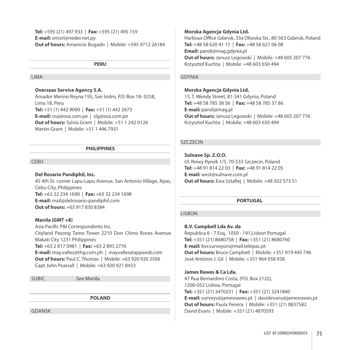**Tel:** +595 (21) 497 933 | **Fax:** +595 (21) 495 159 **E-mail:** smisrl@rieder.net.py **Out of hours:** Amanicio Bogado | Mobile: +595 9712 26184

# **PERU**

# Lima

# **Overseas Service Agency S.A.**

Amador Merino Reyna 195, San Isidro, P.O. Box 18- 0258, Lima 18, Peru **Tel:** +51 (1) 442 9090 | **Fax:** +51 (1) 442 2673 **E-mail:** osa@osa.com.pe | slg@osa.com.pe **Out of hours:** Sylvia Grant | Mobile: +51 1 242 0126 Martin Grant | Mobile: +51 1 446 7931

## **PHILIPPINES**

#### **CEBU**

#### **Del Rosario Pandiphil, Inc.**

45 4th St. corner Lapu-Lapu Avenue, San Antonio Village, Apas, Cebu City, Philippines **Tel:** +63 32 234 1690 | **Fax:** +63 32 234 1698 **E-mail:** mail@delrosario-pandiphil.com **Out of hours:** +63 917 830 8384

#### **Manila (GMT +8)**

Asia Pacific P&I Correspondents Inc. Cityland Pasong Tamo Tower 2210 Don Chino Roces Avenue Makati City 1231 Philippines **Tel:** +63 2 817 0981 | **Fax:** +63 2 893 2776 **E-mail:** may.valles@thg.com.ph | mayvalles@appandi.com **Out of hours:** Paul C. Thomas | Mobile: +63 920 920 2506 Capt John Pearsall | Mobile: +63 920 921 8433

SUBIC See Manila

**POLAND**

GDANSK

#### **Morska Agencja Gdynia Ltd.**

Harbour Office Gdansk, 33a Oliwska Str., 80-563 Gdansk, Poland **Tel:** +48 58 620 41 17 | **Fax:** +48 58 621 06 08 **Email:** pandi@mag.gdynia.pl **Out of hours:** Janusz Legowski | Mobile: +48 605 207 776 Krzysztof Kuchta | Mobile: +48 603 650 494

# GDYNIA

#### **Morska Agencja Gdynia Ltd.**

15, T. Wendy Street, 81-341 Gdynia, Poland **Tel:** +48 58 785 38 56 | **Fax:** +48 58 785 37 86 **E-mail:** pandi@mag.pl **Out of hours:** Janusz Legowski | Mobile: +48 605 207 776 Krzysztof Kuchta | Mobile: +48 603 650 494

# SZCZECIN

**Sulnave Sp. Z.o.o.** Ul. Nowy Rynek 1/5, 70-533 Szczecin, Poland **Tel:** +48 91 814 22 03 | **Fax:** +48 91 814 22 05 **E-mail:** west@sulnave.com.pl **Out of hours:** Ewa Sztafiej | Mobile: +48 502 573 51

#### **PORTUGAL**

# LISBON

#### **B.V. Campbell Lda Av. da**

Republica 6 - 7 Esq, 1050 - 191,Lisbon Portugal **Tel:** +351 (21) 8680758 | **Fax:** +351 (21) 8680760 **E-mail:** bvcsurveyors@mail.telepac.pt **Out of hours:** Bruce Campbell | Mobile: +351 919 445 746 José António J. Gil | Mobile: +351 964 058 938

# **James Rawes & Ca Lda.**

47 Rua Bernardino Costa, (P.O. Box 2122), 1200-052 Lisboa, Portugal **Tel:** +351 (21) 3470231 | **Fax:** +351 (21) 3241840 **E-mail:** surveys@jamesrawes.pt | davidevans@jamesrawes.pt **Out of hours: Paula Pereira | Mobile: +351 (21) 0837582** David Evans | Mobile: +351 (21) 4870593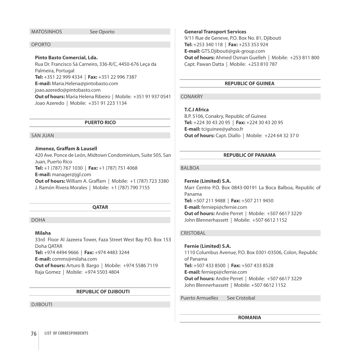#### MatosinhosSee Oporto

# Oporto

# **Pinto Basto Comercial, Lda.**

Rua Dr. Francisco Sá Carneiro, 336-R/C, 4450-676 Leça da Palmeira, Portugal **Tel:** +351 22 999 4334 | **Fax:** +351 22 996 7387 **E-mail:** Maria.Helena@pintobasto.com joao.azeredo@pintobasto.com **Out of hours:** Maria Helena Ribeiro | Mobile: +351 91 937 0541 Joao Azeredo | Mobile: +351 91 223 1134

#### **PUERTO RICO**

# San Juan

# **Jimenez, Graffam & Lausell**

420 Ave. Ponce de León, Midtown Condominium, Suite 505, San Juan, Puerto Rico **Tel:** +1 (787) 767 1030 | **Fax:** +1 (787) 751 4068 **E-mail:** manager@jgl.com **Out of hours:** William A. Graffam | Mobile: +1 (787) 723 3380 J. Ramón Rivera Morales | Mobile: +1 (787) 790 7155

#### **QATAR**

Doha

# **Milaha**

33rd Floor Al Jazeera Tower, Faza Street West Bay P.O. Box 153 Doha QATAR **Tel:** +974 4494 9666 | **Fax:** +974 4483 3244 **E-mail:** comms@milaha.com **Out of hours:** Arturo B. Bargo | Mobile: +974 5586 7119 Raja Gomez | Mobile: +974 5503 4804

# **REPUBLIC OF DJIBOUTI**

Djibouti

#### **General Transport Services**

9/11 Rue de Geneve, P.O. Box No. 81, Djibouti **Tel:** +253 340 118 | **Fax:** +253 353 924 **E-mail:** GTS.Djibouti@gsk-group.com **Out of hours:** Ahmed Osman Guelleh | Mobile: +253 811 800 Capt. Pawan Datta | Mobile: +253 810 787

# **REPUBLIC OF GUINEA**

#### CONAKRY

#### **T.C.I Africa**

B.P. 5106, Conakry, Republic of Guinea **Tel:** +224 30 43 20 95 | **Fax:** +224 30 43 20 95 **E-mail:** tciguinee@yahoo.fr **Out of hours:** Capt. Diallo | Mobile: +224 64 32 37 0

#### **REPUBLIC OF PANAMA**

# BAI BOA

**Fernie (Limited) S.A.** Marr Centre P.O. Box 0843-00191 La Boca Balboa, Republic of Panama **Tel:** +507 211 9488 | **Fax:** +507 211 9450 **E-mail:** ferniepi@cfernie.com **Out of hours:** Andre Perret | Mobile: +507 6617 3229 John Blennerhassett | Mobile: +507 6612 1152

#### **CRISTOBAL**

**Fernie (Limited) S.A.**  1110 Columbus Avenue, P.O. Box 0301-03506, Colon, Republic of Panama **Tel:** +507 433 8500 | **Fax:** +507 433 8528 **E-mail:** ferniepi@cfernie.com **Out of hours:** Andre Perret | Mobile: +507 6617 3229 John Blennerhassett | Mobile: +507 6612 1152

Puerto Armuelles See Cristobal

#### **ROMANIA**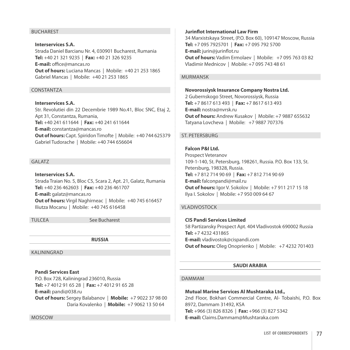# **BUCHAREST**

**Interservices S.A.**  Strada Daniel Barcianu Nr. 4, 030901 Bucharest, Rumania **Tel:** +40 21 321 9235 | **Fax:** +40 21 326 9235 **E-mail:** office@mancas.ro **Out of hours:** Luciana Mancas | Mobile: +40 21 253 1865 Gabriel Mancas | Mobile: +40 21 253 1865

# **CONSTANTZA**

**Interservices S.A.** Str. Revolutiei din 22 Decembrie 1989 No.41, Bloc SNC, Etaj 2, Apt 31, Constantza, Rumania, **Tel:** +40 241 611644 | **Fax:** +40 241 611644 **E-mail:** constantza@mancas.ro **Out of hours:** Capt. Spiridon Timofte | Mobile: +40 744 625379 Gabriel Tudorache | Mobile: +40 744 656604

#### **GALATZ**

**Interservices S.A.** Strada Traian No. 5, Bloc C5, Scara 2, Apt. 21, Galatz, Rumania **Tel:** +40 236 462603 | **Fax:** +40 236 461707 **E-mail:** galatz@mancas.ro **Out of hours:** Virgil Naghirneac | Mobile: +40 745 616457 Iliutza Mocanu | Mobile: +40 745 616458

Tulcea See Bucharest

**RUSSIA**

Kaliningrad

# **Pandi Services East**

P.O. Box 728, Kaliningrad 236010, Russia **Tel:** +7 4012 91 65 28 | **Fax:** +7 4012 91 65 28

**E-mail:** pandi@038.ru

**Out of hours:** Sergey Balabanov | **Mobile:** +7 9022 37 98 00 Daria Kovalenko | **Mobile:** +7 9062 13 50 64

Moscow

#### **Jurinflot International Law Firm**

34 Marxistskaya Street, (P.O. Box 60), 109147 Moscow, Russia **Tel:** +7 095 7925701 | **Fax:** +7 095 792 5700 **E-mail:** jurin@jurinflot.ru **Out of hours:** Vadim Ermolaev | Mobile: +7 095 763 03 82 Vladimir Mednicov | Mobile: +7 095 743 48 61

# MURMANSK

**Novorossiysk Insurance Company Nostra Ltd.**

2 Gubernskogo Street, Novorossiysk, Russia **Tel:** +7 8617 613 493 | **Fax:** +7 8617 613 493 **E-mail:** nostra@nvrsk.ru **Out of hours:** Andrew Kusakov | Mobile: +7 9887 655632 Tatyana Lovcheva | Mobile: +7 9887 707376

# St. Petersburg

**Falcon P&I Ltd.** 

Prospect Veteranov 109-1-140, St. Petersburg, 198261, Russia. P.O. Box 133, St. Petersburg, 198328, Russia. **Tel:** +7 812 714 90 69 | **Fax:** +7 812 714 90 69 **E-mail:** falconpandi@mail.ru **Out of hours:** Igor V. Sokolov | Mobile: +7 911 217 15 18 Ilya I. Sokolov | Mobile: +7 950 009 64 67

# **VLADIVOSTOCK**

**CIS Pandi Services Limited** 58 Partizansky Prospect Apt. 404 Vladivostok 690002 Russia **Tel:** +7 4232 431865 **E-mail:** vladivostok@cispandi.com **Out of hours:** Oleg Onoprienko | Mobile: +7 4232 701403

# **SAUDI ARABIA**

# Dammam

**Mutual Marine Services Al Mushtaraka Ltd.,**

2nd Floor, Bokhari Commercial Centre, Al- Tobaishi, P.O. Box 8972, Dammam 31492, KSA **Tel:** +966 (3) 826 8326 | **Fax:** +966 (3) 827 5342 **E-mail:** Claims.Dammam@Mushtaraka.com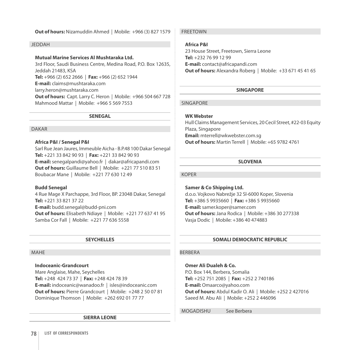# **Out of hours:** Nizamuddin Ahmed | Mobile: +966 (3) 827 1579

#### **JEDDAH**

# **Mutual Marine Services Al Mushtaraka Ltd.**

3rd Floor, Saudi Business Centre, Medina Road, P.O. Box 12635, Jeddah 21483, KSA **Tel:** +966 (2) 652 2666 | **Fax:** +966 (2) 652 1944 **E-mail:** claims@mushtaraka.com larry.heron@mushtaraka.com **Out of hours:** Capt. Larry C. Heron | Mobile: +966 504 667 728 Mahmood Mattar | Mobile: +966 5 569 7553

**SENEGAL**

#### Dakar

#### **Africa P&I / Senegal P&I**

Sarl Rue Jean Jaures, Immeuble Aicha - B.P.48 100 Dakar Senegal **Tel:** +221 33 842 90 93 | **Fax:** +221 33 842 90 93 **E-mail:** senegalpandi@yahoo.fr | dakar@africapandi.com **Out of hours:** Guillaume Bell | Mobile: +221 77 510 83 51 Boubacar Mane | Mobile: +221 77 630 12 49

#### **Budd Senegal**

4 Rue Mage X Parchappe, 3rd Floor, BP. 23048 Dakar, Senegal **Tel:** +221 33 821 37 22 **E-mail:** budd.senegal@budd-pni.com **Out of hours:** Elisabeth Ndiaye | Mobile: +221 77 637 41 95 Samba Cor Fall | Mobile: +221 77 636 5558

# **SEYCHELLES**

#### **MAHF**

# **Indoceanic-Grandcourt**

Mare Anglaise, Mahe, Seychelles **Tel:** +248 424 73 37 | **Fax:** +248 424 78 39 **E-mail:** indoceanic@wanadoo.fr | isles@indoceanic.com **Out of hours:** Pierre Grandcourt | Mobile: +248 2 50 07 81 Dominique Thomson | Mobile: +262 692 01 77 77

#### **SIERRA LEONE**

**FREETOWN** 

# **Africa P&I**

23 House Street, Freetown, Sierra Leone **Tel:** +232 76 99 12 99 **E-mail:** contact@africapandi.com **Out of hours:** Alexandra Roberg | Mobile: +33 671 45 41 65

# **SINGAPORE**

# Singapore

# **WK Webster**

Hull Claims Management Services, 20 Cecil Street, #22-03 Equity Plaza, Singapore **Email:** mterrell@wkwebster.com.sg **Out of hours:** Martin Terrell | Mobile: +65 9782 4761

# **SLOVENIA**

Koper

#### **Samer & Co Shipping Ltd.**

d.o.o. Vojkovo Nabrežje 32 Sl-6000 Koper, Slovenia **Tel:** +386 5 9935660 | **Fax:** +386 5 9935660 **E-mail:** samer.koper@samer.com **Out of hours:** Jana Rodica | Mobile: +386 30 277338 Vasja Dodic | Mobile: +386 40 474883

# **SOMALI DEMOCRATIC REPUBLIC**

#### **BERBERA**

**Omer Ali Dualeh & Co.**  P.O. Box 144, Berbera, Somalia **Tel:** +252 751 2085 | **Fax:** +252 2 740186 **E-mail:** Omaarco@yahoo.com

**Out of hours:** Abdul Kadir O. Ali | Mobile: +252 2 427016 Saeed M. Abu Ali | Mobile: +252 2 446096

MOGADISHU See Berbera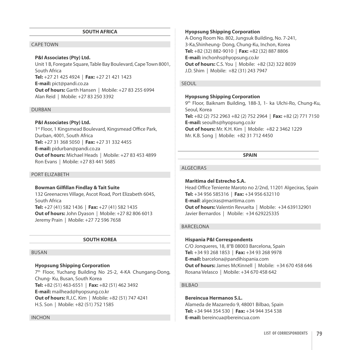#### **SOUTH AFRICA**

# Cape Town

#### **P&I Associates (Pty) Ltd.**

Unit 1 B, Foregate Square, Table Bay Boulevard, Cape Town 8001, South Africa **Tel:** +27 21 425 4924 | **Fax:** +27 21 421 1423 **E-mail:** pict@pandi.co.za **Out of hours:** Garth Hansen | Mobile: +27 83 255 6994 Alan Reid | Mobile: +27 83 250 3392

#### **DURBAN**

#### **P&I Associates (Pty) Ltd.**

1<sup>st</sup> Floor, 1 Kingsmead Boulevard, Kingsmead Office Park, Durban, 4001, South Africa **Tel:** +27 31 368 5050 | **Fax:** +27 31 332 4455 **E-mail:** pidurban@pandi.co.za **Out of hours:** Michael Heads | Mobile: +27 83 453 4899 Ron Evans | Mobile: +27 83 441 5685

#### Port Elizabeth

# **Bowman Gilfillan Findlay & Tait Suite**

132 Greenacres Village, Ascot Road, Port Elizabeth 6045, South Africa **Tel:** +27 (41) 582 1436 | **Fax:** +27 (41) 582 1435 **Out of hours:** John Dyason | Mobile: +27 82 806 6013 Jeremy Prain | Mobile: +27 72 596 7658

#### **SOUTH KOREA**

#### **BUSAN**

# **Hyopsung Shipping Corporation**

7<sup>th</sup> Floor, Yuchang Building No 25-2, 4-KA Chungang-Dong, Chung- Ku, Busan, South Korea **Tel:** +82 (51) 463-6551 | **Fax:** +82 (51) 462 3492 **E-mail:** mailhead@hyopsung.co.kr **Out of hours:** R.J.C. Kim | Mobile: +82 (51) 747 4241 H.S. Son | Mobile: +82 (51) 752 1585

#### **Hyopsung Shipping Corporation**

A-Dong Room No. 802, Jungsuk Building, No. 7-241, 3-Ka,Shinheung- Dong, Chung-Ku, Inchon, Korea **Tel:** +82 (32) 882-9010 | **Fax:** +82 (32) 887 8806 **E-mail:** inchonhs@hyopsung.co.kr **Out of hours:** C.S. You | Mobile: +82 (32) 322 8039 J.D. Shim | Mobile: +82 (31) 243 7947

#### Seoul

#### **Hyopsung Shipping Corporation**

9th Floor, Baiknam Building, 188-3, 1- ka Ulchi-Ro, Chung-Ku, Seoul, Korea **Tel:** +82 (2) 752 2963 +82 (2) 752 2964 | **Fax:** +82 (2) 771 7150 **E-mail:** seoulhs@hyopsung.co.kr **Out of hours:** Mr. K.H. Kim | Mobile: +82 2 3462 1229 Mr. K.B. Song | Mobile: +82 31 712 4450

#### **SPAIN**

# **ALGECIRAS**

**Maritima del Estrecho S.A.** Head Office Teniente Maroto no 2/2nd, 11201 Algeciras, Spain **Tel:** +34 956 585316 | **Fax:** +34 956 632110 **E-mail**: algeciras@maritima.com **Out of hours:** Valentin Revuelta | Mobile: +34 639132901 Javier Bernardos | Mobile: +34 629225335

# Barcelona

**Hispania P&I Correspondents** C/O Jonqueres, 18, 8°B 08003 Barcelona, Spain **Tel:** +34 93 268 1853 | **Fax:** +34 93 268 9978 **E-mail:** barcelona@pandihispania.com **Out of hours:** James McKinnell | Mobile: +34 670 458 646 Rosana Velasco | Mobile: +34 670 458 642

#### **BILBAO**

**Bereincua Hermanos S.L.**  Alameda de Mazarredo 9, 48001 Bilbao, Spain **Tel:** +34 944 354 530 | **Fax:** +34 944 354 538 **E-mail:** bereincua@bereincua.com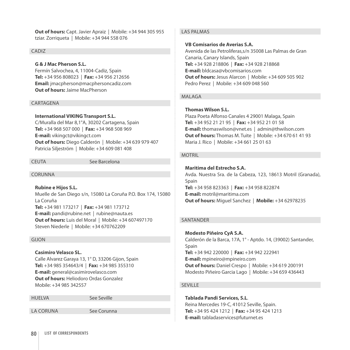**Out of hours:** Capt. Javier Apraiz | Mobile: +34 944 305 955 tziar. Zorriqueta | Mobile: +34 944 558 076

# CADIZ

#### **G & J Mac Pherson S.L.**

Fermín Salvochea, 4, 11004-Cadiz, Spain **Tel:** +34 956 808023 | **Fax:** +34 956 212656 **Email:** jmacpherson@macphersoncadiz.com **Out of hours:** Jaime MacPherson

#### CARTAGENA

#### **International VIKINGTransport S.L.**

C/Muralla del Mar 8,1°A, 30202 Cartagena, Spain **Tel:** +34 968 507 000 | **Fax:** +34 968 508 969 **E-mail:** vikingct@vikingct.com **Out of hours:** Diego Calderón | Mobile: +34 639 979 407 Patricia Siljeström | Mobile: +34 609 081 408

CEUTA See Barcelona

CORUNNA

**Rubine e Hijos S.L.**  Muelle de San Diego s/n, 15080 La Coruña P.O. Box 174, 15080 La Coruña **Tel:** +34 981 173217 | **Fax:** +34 981 173712 **E-mail:** pandi@rubine.net | rubine@nauta.es **Out of hours:** Luis del Moral | Mobile: +34 607497170 Steven Niederle | Mobile: +34 670762209

#### Gijon

# **Casimiro Velasco SL.**

Calle Alvarez Garaya 13, 1° D, 33206 Gijon, Spain **Tel:** +34 985 354643/4 | **Fax:** +34 985 355310 **E-mail:** general@casimirovelasco.com **Out of hours:** Heliodoro Ordas Gonzalez Mobile: +34 985 342557

Huelva See Seville

La Coruna See Corunna

# Las Palmas

# **VB Comisarios de Averias S.A.**

Avenida de las Petroliferas,s/n 35008 Las Palmas de Gran Canaria, Canary Islands, Spain **Tel:** +34 928 218806 | **Fax:** +34 928 218868 **E-mail:** bldcasa@vbcomisarios.com **Out of hours:** Jesus Alarcon | Mobile: +34 609 505 902 Pedro Perez | Mobile: +34 609 048 560

# MAI AGA

# **Thomas Wilson S.L.**

Plaza Poeta Alfonso Canales 4 29001 Malaga, Spain **Tel:** +34 952 21 21 95 | **Fax:** +34 952 21 01 58 **E-mail:** thomaswilson@vnet.es | admin@thwilson.com **Out of hours:** Thomas M. Tuite | Mobile: +34 670 61 41 93 Maria J. Rico | Mobile: +34 661 25 01 63

# **MOTRIL**

# **Maritima del Estrecho S.A.**

Avda. Nuestra Sra. de la Cabeza, 123, 18613 Motril (Granada), Spain **Tel:** +34 958 823363 | **Fax:** +34 958 822874 **E-mail:** motril@maritima.com **Out of hours:** Miguel Sanchez | **Mobile:** +34 62978235

# **SANTANDER**

**Modesto Piñeiro CyA S.A.**  Calderón de la Barca, 17A, 1° - Aptdo. 14, (39002) Santander, Spain **Tel:** +34 942 220000 | **Fax:** +34 942 222941 **E-mail:** mpineiro@mpineiro.com **Out of hours:** Daniel Crespo | Mobile: +34 619 200191 Modesto Piñeiro Garcia Lago | Mobile: +34 659 436443

# **SEVILLE**

**Tablada Pandi Services, S.L**. Reina Mercedes 19-C, 41012 Seville, Spain. **Tel:** +34 95 424 1212 | **Fax:** +34 95 424 1213 **E-mail:** tabladaservices@futurnet.es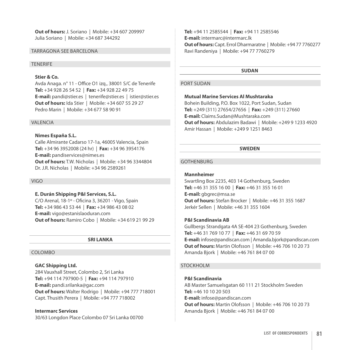**Out of hours:** J. Soriano | Mobile: +34 607 209997 Julia Soriano | Mobile: +34 687 344292

# Tarragona See Barcelona

# **TENERIFE**

# **Stier & Co.**

Avda Anaga. n° 11 - Office O1 izq., 38001 S/C de Tenerife **Tel:** +34 928 26 54 52 | **Fax:** +34 928 22 49 75 **E-mail:** pandi@stier.es | tenerife@stier.es | istier@stier.es **Out of hours:** Ida Stier | Mobile: +34 607 55 29 27 Pedro Marin | Mobile: +34 677 58 90 91

#### **VAI FNCIA**

#### **Nimes España S.L.**

Calle Almirante Cadarso 17-1a, 46005 Valencia, Spain **Tel:** +34 96 3952008 (24 hr) | **Fax:** +34 96 3954176 **E-mail:** pandiservices@nimes.es **Out of hours:** T.W. Nicholas | Mobile: +34 96 3344804 Dr. J.R. Nicholas | Mobile: +34 96 2589261

#### Vigo

#### **E. Durán Shipping P&I Services, S.L.**

C/O Arenal, 18-1º - Oficina 3, 36201 - Vigo, Spain **Tel:** +34 986 43 53 44 | **Fax:** +34 986 43 08 02 **E-mail:** vigo@estanislaoduran.com **Out of hours:** Ramiro Cobo | Mobile: +34 619 21 99 29

# **SRI LANKA**

#### COLOMBO

# **GAC Shipping Ltd.**

284 Vauxhall Street, Colombo 2, Sri Lanka **Tel:** +94 114 797900-5 | **Fax:** +94 114 797910 **E-mail:** pandi.srilanka@gac.com **Out of hours:** Walter Rodrigo | Mobile: +94 777 718001 Capt. Thusith Perera | Mobile: +94 777 718002

# **Intermarc Services**

30/63 Longdon Place Colombo 07 Sri Lanka 00700

**Tel:** +94 11 2585544 | **Fax:** +94 11 2585546 **E-mail:** intermarc@intermarc.lk **Out of hours:** Capt. Errol Dharmaratne | Mobile: +94 77 7760277 Ravi Randeniya | Mobile: +94 77 7760279

#### **SUDAN**

#### PORT SUDAN

# **Mutual Marine Services Al Mushtaraka**

Bohein Building, P.O. Box 1022, Port Sudan, Sudan **Tel:** +249 (311) 27654/27656 | **Fax:** +249 (311) 27660 **E-mail:** Claims.Sudan@Mushtaraka.com **Out of hours:** Abdulazim Badawi | Mobile: +249 9 1233 4920 Amir Hassan | Mobile: +249 9 1251 8463

#### **SWEDEN**

#### **GOTHENBURG**

#### **Mannheimer**

Swartling Box 2235, 403 14 Gothenburg, Sweden **Tel:** +46 31 355 16 00 | **Fax:** +46 31 355 16 01 **E-mail:** gbgrec@msa.se **Out of hours:** Stefan Brocker | Mobile: +46 31 355 1687 Jerkér Sellen | Mobile: +46 31 355 1604

#### **P&I Scandinavia AB**

Gullbergs Strandgata 4A SE-404 23 Gothenburg, Sweden **Tel:** +46 31 769 10 77 | **Fax:** +46 31 69 70 59 **E-mail:** infose@pandiscan.com | Amanda.bjork@pandiscan.com **Out of hours:** Martin Olofsson | Mobile: +46 706 10 20 73 Amanda Bjork | Mobile: +46 761 84 07 00

#### **STOCKHOLM**

# **P&I Scandinavia**

AB Master Samuelsgatan 60 111 21 Stockholm Sweden **Tel:** +46 10 10 20 503 **E-mail:** infose@pandiscan.com **Out of hours:** Martin Olofsson | Mobile: +46 706 10 20 73 Amanda Bjork | Mobile: +46 761 84 07 00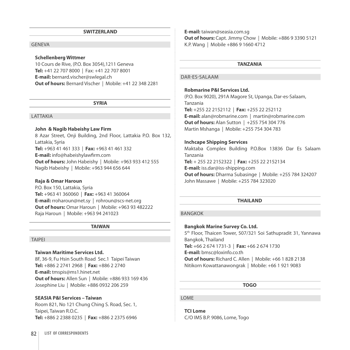#### **SWITZERLAND**

# **GENEVA**

#### **Schellenberg Wittmer**

10 Cours de Rive, (P.O. Box 3054),1211 Geneva **Tel:** +41 22 707 8000 | Fax: +41 22 707 8001 **E-mail:** bernard.vischer@swlegal.ch **Out of hours:** Bernard Vischer | Mobile: +41 22 348 2281

**SYRIA**

#### LATTAKIA

#### **John & Nagib Habeishy Law Firm**

8 Azar Street, Onji Building, 2nd Floor, Lattakia P.O. Box 132, Lattakia, Syria **Tel:** +963 41 461 333 | **Fax:** +963 41 461 332 **E-mail:** info@habeishylawfirm.com **Out of hours:** John Habeishy | Mobile: +963 933 412 555 Nagib Habeishy | Mobile: +963 944 656 644

#### **Raja & Omar Haroun**

P.O. Box 150, Lattakia, Syria **Tel:** +963 41 360060 | **Fax:** +963 41 360064 **E-mail:** rroharoun@net.sy | rohroun@scs-net.org **Out of hours:** Omar Haroun | Mobile: +963 93 482222 Raja Haroun | Mobile: +963 94 241023

#### **TAIWAN**

#### **TAIPEI**

#### **Taiwan Maritime Services Ltd.**

8F, 36-9, Fu Hsin South Road Sec.1 Taipei Taiwan **Tel:** +886 2 2741 2968 | **Fax:** +886 2 2740 **E-mail:** tmspis@ms1.hinet.net **Out of hours:** Allen Sun | Mobile: +886 933 169 436 Josephine Liu | Mobile: +886 0932 206 259

#### **SEASIA P&I Services – Taiwan**

Room 821, No 121 Chung Ching S. Road, Sec. 1, Taipei, Taiwan R.O.C. **Tel:** +886 2 2388 0235 | **Fax:** +886 2 2375 6946 **E-mail:** taiwan@seasia.com.sg **Out of hours:** Capt. Jimmy Chow | Mobile: +886 9 3390 5121 K.P. Wang | Mobile +886 9 1660 4712

#### **TANZANIA**

# Dar-es-Salaam

# **Robmarine P&I Services Ltd.**

(P.O. Box 9020), 291A Magore St, Upanga, Dar-es-Salaam, Tanzania **Tel:** +255 22 2152112 | **Fax:** +255 22 252112

**E-mail:** alan@robmarine.com | martin@robmarine.com **Out of hours:** Alan Sutton | +255 754 304 776 Martin Mshanga | Mobile: +255 754 304 783

#### **Inchcape Shipping Services**

Maktaba Complex Building P.O.Box 13836 Dar Es Salaam Tanzania

**Tel:** + 255 22 2152322 | **Fax:** +255 22 2152134 **E-mail:** iss.dar@iss-shipping.com **Out of hours:** Dharma Subasinge | Mobile: +255 784 324207 John Massawe | Mobile: +255 784 323020

#### **THAILAND**

# Bangkok

#### **Bangkok Marine Survey Co. Ltd.**

5th Floor, Thaicen Tower, 507/321 Soi Sathupradit 31, Yannawa Bangkok, Thailand **Tel:** +66 2 674 1731-3 | **Fax:** +66 2 674 1730 **E-mail:** bmsc@loxinfo.co.th **Out of hours:** Richard C. Allen | Mobile: +66 1 828 2138 Nitikorn Kowattanawongrak | Mobile: +66 1 921 9083

**TOGO**

# **LOME**

**TCI Lome** c/o IMS B.P. 9086, Lome, Togo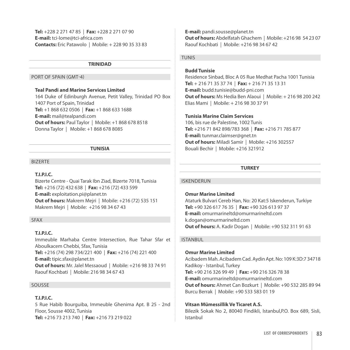**Tel:** +228 2 271 47 85 | **Fax:** +228 2 271 07 90 **E-mail:** tci-lome@tci-africa.com **Contacts:** Eric Patawolo | Mobile: + 228 90 35 33 83

#### **TRINIDAD**

# Port of Spain (GMT-4)

# **Teal Pandi and Marine Services Limited**

164 Duke of Edinburgh Avenue, Petit Valley, Trinidad PO Box 1407 Port of Spain, Trinidad **Tel:** +1 868 632 0506 | **Fax:** +1 868 633 1688 **E-mail:** mail@tealpandi.com **Out of hours: Paul Taylor | Mobile: +1 868 678 8518** Donna Taylor | Mobile: +1 868 678 8085

## **TUNISIA**

#### **BIZERTE**

#### **T.I.P.I.C.**

Bizerte Centre - Quai Tarak Ibn Ziad, Bizerte 7018, Tunisia **Tel:** +216 (72) 432 638 | **Fax:** +216 (72) 433 599 **E-mail:** exploitation.pi@planet.tn **Out of hours:** Makrem Mejri | Mobile: +216 (72) 535 151 Makrem Mejri | Mobile: +216 98 34 67 43

# Sfax

# **T.I.P.I.C.**

Immeuble Marhaba Centre Intersection, Rue Tahar Sfar et Aboulkacem Chebbi, Sfax, Tunisia **Tel:** +216 (74) 298 734/221 400 | **Fax:** +216 (74) 221 400 **E-mail:** tipic.sfax@planet.tn **Out of hours:** Mr. Jalel Messaoud | Mobile: +216 98 33 74 91 Raouf Kochbati | Mobile: 216 98 34 67 43

#### Sousse

#### **T.I.P.I.C.**

5 Rue Habib Bourguiba, Immeuble Ghenima Apt. B 25 - 2nd Floor, Sousse 4002, Tunisia **Tel:** +216 73 213 740 | **Fax:** +216 73 219 022

**E-mail:** pandi.sousse@planet.tn **Out of hours:** Abdelfatah Ghachem | Mobile: +216 98 54 23 07 Raouf Kochbati | Mobile: +216 98 34 67 42

# **TUNIS**

# **Budd Tunisie**

Residence Sinbad, Bloc A 05 Rue Medhat Pacha 1001 Tunisia **Tel:** + 216 71 35 37 74 | **Fax:** + 216 71 35 13 31 **E-mail:** budd.tunisie@budd-pni.com **Out of hours:** Ms Hedia Ben Alaoui | Mobile: + 216 98 200 242 Elias Mami | Mobile: + 216 98 30 37 91

# **Tunisia Marine Claim Services**

106, bis rue de Palestine, 1002 Tunis **Tel:** +216 71 842 898/783 368 | **Fax:** +216 71 785 877 **E-mail:** tunmar.claimser@gnet.tn **Out of hours:** Miladi Samir | Mobile: +216 302557 Bouali Bechir | Mobile: +216 321912

#### **TURKEY**

#### Iskenderun

#### **Omur Marine Limited**

Ataturk Bulvari Cereb Han, No: 20 Kat:5 Iskenderun, Turkiye **Tel:** +90 326 617 76 35 | **Fax:** +90 326 613 97 37 **E-mail:** omurmarineltd@omurmarineltd.com k.dogan@omurmarineltd.com **Out of hours:** A. Kadir Dogan | Mobile: +90 532 311 91 63

# **ISTANBUL**

#### **Omur Marine Limited**

Acibadem Mah. Acibadem Cad. Aydin Apt. No: 109 K:3D:7 34718 Kadikoy - Istanbul, Turkey **Tel:** +90 216 326 99 49 | **Fax:** +90 216 326 78 38 **E-mail:** omurmarineltd@omurmarineltd.com **Out of hours:** Ahmet Can Bozkurt | Mobile: +90 532 285 89 94 Burcu Berrak | Mobile: +90 533 583 01 19

# **Vitsan Mümessillik Ve Ticaret A.S.**

Bilezik Sokak No 2, 80040 Findikli, Istanbul,P.O. Box 689, Sisli, Istanbul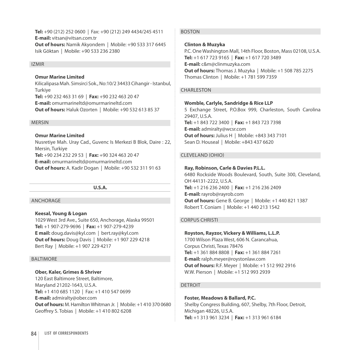**Tel:** +90 (212) 252 0600 | Fax: +90 (212) 249 4434/245 4511 **E-mail:** vitsan@vitsan.com.tr **Out of hours:** Namik Akyondem | Mobile: +90 533 317 6445 Isik Göktan | Mobile: +90 533 236 2380

#### **IZMIR**

# **Omur Marine Limited**

Kilicalipasa Mah. Simsirci Sok., No:10/2 34433 Cihangir - Istanbul, **Turkive Tel:** +90 232 463 31 69 | **Fax:** +90 232 463 20 47 **E-mail:** omurmarineltd@omurmarineltd.com **Out of hours:** Haluk Ozorten | Mobile: +90 532 613 85 37

#### **MFRSIN**

# **Omur Marine Limited**

Nusretiye Mah. Uray Cad., Guvenc Is Merkezi B Blok, Daire : 22, Mersin, Turkiye **Tel:** +90 234 232 29 53 | **Fax:** +90 324 463 20 47 **E-mail:** omurmarineltd@omurmarineltd.com **Out of hours:** A. Kadir Dogan | Mobile: +90 532 311 91 63

#### **U.S.A.**

#### **ANCHORAGE**

#### **Keesal, Young & Logan**

1029 West 3rd Ave., Suite 650, Anchorage, Alaska 99501 **Tel:** +1 907-279-9696 | **Fax:** +1 907-279-4239 **E mail:** doug.davis@kyl.com | bert.ray@kyl.com **Out of hours:** Doug Davis | Mobile: +1 907 229 4218 Bert Ray | Mobile: +1 907 229 4217

#### **BALTIMORE**

# **Ober, Kaler, Grimes & Shriver**

120 East Baltimore Street, Baltimore, Maryland 21202-1643, U.S.A. **Tel:** +1 410 685 1120 | Fax: +1 410 547 0699 **E-mail:** admiralty@ober.com **Out of hours:** M. Hamilton Whitman Jr. | Mobile: +1 410 370 0680 Geoffrey S. Tobias | Mobile: +1 410 802 6208

#### **BOSTON**

#### **Clinton & Muzyka**

P.C. One Washington Mall, 14th Floor, Boston, Mass 02108, U.S.A. **Tel:** +1 617 723 9165 | **Fax:** +1 617 720 3489 **E-mail:** c&m@clinmuzyka.com **Out of hours:** Thomas J. Muzyka | Mobile: +1 508 785 2275 Thomas Clinton | Mobile: +1 781 599 7359

# CHARLESTON

#### **Womble, Carlyle, Sandridge & Rice LLP**

5 Exchange Street, P.O.Box 999, Charleston, South Carolina 29407, U.S.A. **Tel:** +1 843 722 3400 | **Fax:** +1 843 723 7398 **E-mail:** admiralty@wcsr.com **Out of hours:** Julius H | Mobile: +843 343 7101 Sean D. Houseal | Mobile: +843 437 6620

#### Cleveland (Ohio)

#### **Ray, Robinson, Carle & Davies P.L.L.**

6480 Rockside Woods Boulevard, South, Suite 300, Cleveland, OH 44131-2222, U.S.A. **Tel:** +1 216 236 2400 | **Fax:** +1 216 236 2409 **E-mail:** rayrob@rayrob.com **Out of hours:** Gene B. George | Mobile: +1 440 821 1387 Robert T. Coniam | Mobile: +1 440 213 1542

# Corpus Christi

# **Royston, Rayzor, Vickery & Williams, L.L.P.**

1700 Wilson Plaza West, 606 N. Carancahua, Corpus Christi, Texas 78476 **Tel:** +1 361 884 8808 | **Fax:** +1 361 884 7261 **E-mail:** ralph.meyer@roystonlaw.com **Out of hours:** R.F. Meyer | Mobile: +1 512 992 2916 W.W. Pierson | Mobile: +1 512 993 2939

#### **DETROIT**

# **Foster, Meadows & Ballard, P.C.**

Shelby Congress Building, 607, Shelby, 7th Floor, Detroit, Michigan 48226, U.S.A. **Tel:** +1 313 961 3234 | **Fax:** +1 313 961 6184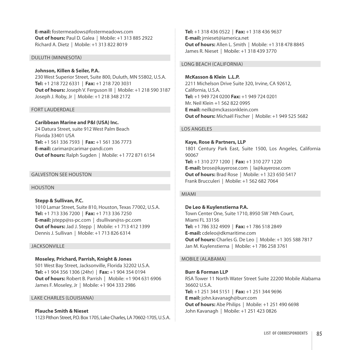**E-mail:** fostermeadows@fostermeadows.com **Out of hours:** Paul D. Galea | Mobile: +1 313 885 2922 Richard A. Dietz | Mobile: +1 313 822 8019

# Duluth (Minnesota)

# **Johnson, Killen & Seiler, P.A.**

230 West Superior Street, Suite 800, Duluth, MN 55802, U.S.A. **Tel:** +1 218 722 6331 | **Fax:** +1 218 720 3031 **Out of hours:** Joseph V. Ferguson III | Mobile: +1 218 590 3187 Joseph J. Roby, Jr | Mobile: +1 218 348 2172

#### Fort Lauderdale

# **Caribbean Marine and P&I (USA) Inc.**

24 Datura Street, suite 912 West Palm Beach Florida 33401 USA **Tel:** +1 561 336 7593 | **Fax:** +1 561 336 7773 **E-mail:** carimar@carimar-pandi.com **Out of hours:** Ralph Sugden | Mobile: +1 772 871 6154

# Galveston See Houston

# Houston

**Stepp & Sullivan, P.C.**  1010 Lamar Street, Suite 810, Houston, Texas 77002, U.S.A. **Tel:** +1 713 336 7200 | **Fax:** +1 713 336 7250 **E-mail:** jstepp@ss-pc.com | dsullivan@ss-pc.com **Out of hours:** Jad J. Stepp | Mobile: +1 713 412 1399 Dennis J. Sullivan | Mobile: +1 713 826 6314

# **JACKSONVILLE**

# **Moseley, Prichard, Parrish, Knight & Jones**

501 West Bay Street, Jacksonville, Florida 32202 U.S.A. **Tel:** +1 904 356 1306 (24hr) | **Fax:** +1 904 354 0194 **Out of hours:** Robert B. Parrish | Mobile: +1 904 631 6906 James F. Moseley, Jr | Mobile: +1 904 333 2986

# Lake Charles (Louisiana)

# **Plauche Smith & Nieset**

1123 Pithon Street, P.O. Box 1705, Lake Charles, LA 70602-1705, U.S.A.

**Tel:** +1 318 436 0522 | **Fax:** +1 318 436 9637 **E-mail:** jrnieset@iamerica.net **Out of hours:** Allen L. Smith | Mobile: +1 318 478 8845 James R. Nieset | Mobile: +1 318 439 3770

# Long Beach (California)

**McKasson & Klein L.L.P.**  2211 Michelson Drive Suite 320, Irvine, CA 92612, California, U.S.A. **Tel:** +1 949 724 0200 **Fax:** +1 949 724 0201 Mr. Neil Klein +1 562 822 0995 **E mail:** neilk@mckassonklein.com **Out of hours:** Michaël Fischer | Mobile: +1 949 525 5682

# Los Angeles

**Kaye, Rose & Partners, LLP** 1801 Century Park East, Suite 1500, Los Angeles, California 90067 **Tel:** +1 310 277 1200 | **Fax:** +1 310 277 1220 **E-mail:** brose@kayerose.com | la@kayerose.com **Out of hours:** Brad Rose | Mobile: +1 323 650 5417 Frank Brucculeri | Mobile: +1 562 682 7064

#### Miami

# **De Leo & Kuylenstierna P.A.**

Town Center One, Suite 1710, 8950 SW 74th Court, Miami FL 33156 **Tel:** +1 786 332 4909 | **Fax:** +1 786 518 2849 **E-mail:** cdeleo@dkmaritime.com **Out of hours:** Charles G. De Leo | Mobile: +1 305 588 7817 Jan M. Kuylenstierna | Mobile: +1 786 258 3761

#### Mobile (Alabama)

**Burr & Forman LLP** RSA Tower 11 North Water Street Suite 22200 Mobile Alabama 36602 U.S.A. **Tel:** +1 251 344 5151 | **Fax:** +1 251 344 9696 **E mail:** john.kavanagh@burr.com **Out of hours:** Abe Philips | Mobile: +1 251 490 6698 John Kavanagh | Mobile: +1 251 423 0826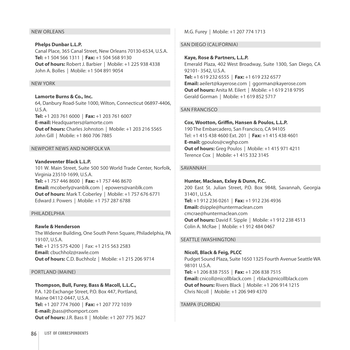#### NEW ORLEANS

# **Phelps Dunbar L.L.P.** Canal Place, 365 Canal Street, New Orleans 70130-6534, U.S.A. **Tel:** +1 504 566 1311 | **Fax:** +1 504 568 9130 **Out of hours:** Robert J. Barbier | Mobile: +1 225 938 4338 John A. Bolles | Mobile: +1 504 891 9054

#### New York

**Lamorte Burns & Co., Inc.** 64, Danbury Road-Suite 1000, Wilton, Connecticut 06897-4406, U.S.A. **Tel:** +1 203 761 6000 | **Fax:** +1 203 761 6007 **E-mail:** Headquarters@lamorte.com **Out of hours:** Charles Johnston | Mobile: +1 203 216 5565 John Gill | Mobile: +1 860 706 7885

# Newport News and Norfolk Va

**Vandeventer Black L.L.P.**  101 W. Main Street, Suite 500 500 World Trade Center, Norfolk, Virginia 23510-1699, U.S.A. **Tel:** +1 757 446 8600 | **Fax:** +1 757 446 8670 **Email:** mcoberly@vanblk.com | epowers@vanblk.com **Out of hours:** Mark T. Coberley | Mobile: +1 757 676 6771 Edward J. Powers | Mobile: +1 757 287 6788

#### **PHILADELPHIA**

**Rawle & Henderson**  The Widener Building, One South Penn Square, Philadelphia, PA 19107, U.S.A. **Tel:** +1 215 575 4200 | Fax: +1 215 563 2583 **Email:** cbuchholz@rawle.com **Out of hours:** C.D. Buchholz | Mobile: +1 215 206 9714

Portland (Maine)

#### **Thompson, Bull, Furey, Bass & Macoll, L.L.C.,**

P.A. 120 Exchange Street, P.O. Box 447, Portland, Maine 04112-0447, U.S.A. **Tel:** +1 207 774 7600 | **Fax:** +1 207 772 1039 **E-mail:** jbass@thomport.com **Out of hours:** J.R. Bass II | Mobile: +1 207 775 3627 M.G. Furey | Mobile: +1 207 774 1713

#### San Diego (California)

#### **Kaye, Rose & Partners, L.L.P.**

Emerald Plaza, 402 West Broadway, Suite 1300, San Diego, CA 92101- 3542, U.S.A. **Tel:** +1 619 232 6555 | **Fax:** +1 619 232 6577 **Email:** aeilert@kayerose.com | ggorman@kayerose.com **Out of hours:** Anita M. Eilert | Mobile: +1 619 218 9795 Gerald Gorman | Mobile: +1 619 852 5717

#### San Francisco

#### **Cox, Wootton, Griffin, Hansen & Poulos, L.L.P.**

190 The Embarcadero, San Francisco, CA 94105 Tel: +1 415 438 4600 Ext. 201 | **Fax:** +1 415 438 4601 **E-mail:** gpoulos@cwghp.com **Out of hours:** Greg Poulos | Mobile: +1 415 971 4211 Terence Cox | Mobile: +1 415 332 3145

# **SAVANNAH**

**Hunter, Maclean, Exley & Dunn, P.C.**  200 East St. Julian Street, P.O. Box 9848, Savannah, Georgia 31401, U.S.A. **Tel:** +1 912 236 0261 | **Fax:** +1 912 236 4936 **Email:** dsipple@huntermaclean.com cmcrae@huntermaclean.com **Out of hours:** David F. Sipple | Mobile: +1 912 238 4513 Colin A. McRae | Mobile: +1 912 484 0467

#### SEATTLE (WASHINGTON)

**Nicoll, Black & Feig, PLCC**  Pudget Sound Plaza, Suite 1650 1325 Fourth Avenue Seattle WA 98101 U.S.A. **Tel:** +1 206 838 7555 | **Fax:** +1 206 838 7515 **Email:** cnicoll@nicollblack.com | rblack@nicollblack.com **Out of hours:** Rivers Black | Mobile: +1 206 914 1215 Chris Nicoll | Mobile: +1 206 949 4370

Tampa (Florida)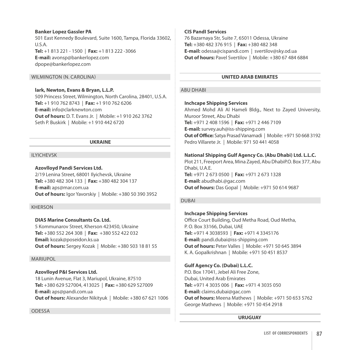# **Banker Lopez Gassler PA** 501 East Kennedy Boulevard, Suite 1600, Tampa, Florida 33602,  $I \cup S$ A **Tel:** +1 813 221 - 1500 | **Fax:** +1 813 222 -3066

**E-mail:** avonsp@bankerlopez.com dpope@bankerlopez.com

# Wilmington (N. Carolina)

**lark, Newton, Evans & Bryan, L.L.P.** 509 Princess Street, Wilmington, North Carolina, 28401, U.S.A. **Tel:** +1 910 762 8743 | **Fax:** +1 910 762 6206 **E-mail:** info@clarknewton.com **Out of hours:** D. T. Evans Jr. | Mobile: +1 910 262 3762 Seth P. Buskirk | Mobile: +1 910 442 6720

# **UKRAINE**

# Ilyichevsk

# **Azovlloyd Pandi Services Ltd.**

2/19 Lenina Street, 68001 Ilyichevsk, Ukraine **Tel:** +380 482 304 133 | **Fax:** +380 482 304 137 **E-mail:** aps@mar.com.ua **Out of hours:** Igor Yavorskiy | Mobile: +380 50 390 3952

# Kherson

# **DIAS Marine Consultants Co. Ltd.**

5 Kommunarov Street, Kherson 423450, Ukraine **Tel:** +380 552 264 308 | **Fax:** +380 552 422 032 **Email:** kozak@poseidon.ks.ua **Out of hours:** Sergey Kozak | Mobile: +380 503 18 81 55

# Mariupol

# **Azovlloyd P&I Services Ltd.**

18 Lunin Avenue, Flat 3, Mariupol, Ukraine, 87510 **Tel:** +380 629 527004, 413025 | **Fax:** +380 629 527009 **E-mail:** aps@pandi.com.ua **Out of hours:** Alexander Nikityuk | Mobile: +380 67 621 1006

# **ODESSA**

# **CIS PandI Services**

76 Bazarnaya Str, Suite 7, 65011 Odessa, Ukraine **Tel:** +380 482 376 915 | **Fax:** +380 482 348 **E-mail:** odessa@cispandi.com | svertilov@sky.od.ua **Out of hours: Pavel Svertilov | Mobile: +380 67 484 6884** 

# **UNITED ARAB EMIRATES**

# **ABU DHABI**

# **Inchcape Shipping Services**

Ahmed Mohd Ali Al Hameli Bldg., Next to Zayed University, Muroor Street, Abu Dhabi **Tel:** +971 2 408 1596 | **Fax:** +971 2 446 7109 **E-mail:** survey.auh@iss-shipping.com **Out of Office:** Satya Prasad Vanamadi | Mobile: +971 50 668 3192 Pedro Villarete Jr. | Mobile: 971 50 441 4058

# **National Shipping Gulf Agency Co. (Abu Dhabi) Ltd. L.L.C.**

Plot 211, Freeport Area, Mina Zayed, Abu DhabiP.O. Box 377, Abu Dhabi, U.A.E. **Tel:** +971 2 673 0500 | **Fax:** +971 2 673 1328 **E-mail:** abudhabi.@gac.com **Out of hours:** Das Gopal | Mobile: +971 50 614 9687

# **DUBAI**

# **Inchcape Shipping Services**

Office Court Building, Oud Metha Road, Oud Metha, P. O. Box 33166, Dubai, UAE **Tel:** +971 4 3038593 | **Fax:** +971 4 3345176 **E-mail:** pandi.dubai@iss-shipping.com **Out of hours:** Peter Valles | Mobile: +971 50 645 3894 K. A. Gopalkrishnan | Mobile: +971 50 451 8537

# **Gulf Agency Co. (Dubai) L.L.C.**

P.O. Box 17041, Jebel Ali Free Zone, Dubai, United Arab Emirates **Tel:** +971 4 3035 006 | **Fax:** +971 4 3035 050 **E-mail:** claims.dubai@gac.com **Out of hours:** Meena Mathews | Mobile: +971 50 653 5762 George Mathews | Mobile: +971 50 454 2918

# **URUGUAY**